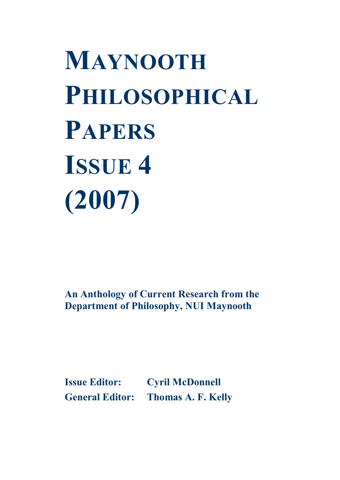# **MAYNOOTH PHILOSOPHICAL PAPERS ISSUE 4 (2007)**

**An Anthology of Current Research from the Department of Philosophy, NUI Maynooth**

**Issue Editor: Cyril McDonnell General Editor: Thomas A. F. Kelly**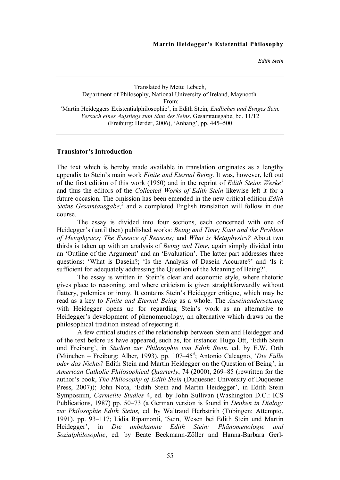*Edith Stein*

#### Translated by Mette Lebech, Department of Philosophy, National University of Ireland, Maynooth. From: 'Martin Heideggers Existentialphilosophie', in Edith Stein, *Endliches und Ewiges Sein. Versuch eines Aufstiegs zum Sinn des Seins*, Gesamtausgabe, bd. 11/12 (Freiburg: Herder, 2006), 'Anhang', pp. 445–500

#### **Translator's Introduction**

The text which is hereby made available in translation originates as a lengthy appendix to Stein's main work *Finite and Eternal Being*. It was, however, left out of the first edition of this work (1950) and in the reprint of *Edith Steins Werke* 1 and thus the editors of the *Collected Works of Edith Stein* likewise left it for a future occasion. The omission has been emended in the new critical edition *Edith Steins Gesamtausgabe*,<sup>2</sup> and a completed English translation will follow in due course.

The essay is divided into four sections, each concerned with one of Heidegger's (until then) published works: *Being and Time; Kant and the Problem of Metaphysics; The Essence of Reasons;* and *What is Metaphysics?* About two thirds is taken up with an analysis of *Being and Time*, again simply divided into an 'Outline of the Argument' and an 'Evaluation'. The latter part addresses three questions: 'What is Dasein?; 'Is the Analysis of Dasein Accurate?' and 'Is it sufficient for adequately addressing the Question of the Meaning of Being?'.

The essay is written in Stein's clear and economic style, where rhetoric gives place to reasoning, and where criticism is given straightforwardly without flattery, polemics or irony. It contains Stein's Heidegger critique, which may be read as a key to *Finite and Eternal Being* as a whole. The *Auseinandersetzung* with Heidegger opens up for regarding Stein's work as an alternative to Heidegger's development of phenomenology, an alternative which draws on the philosophical tradition instead of rejecting it.

A few critical studies of the relationship between Stein and Heidegger and of the text before us have appeared, such as, for instance: Hugo Ott, 'Edith Stein und Freiburg', in *Studien zur Philosophie von Edith Stein*, ed. by E.W. Orth (München – Freiburg: Alber, 1993), pp. 107–45<sup>3</sup>; Antonio Calcagno, '*Die Fülle oder das Nichts?* Edith Stein and Martin Heidegger on the Question of Being', in *American Catholic Philosophical Quarterly*, 74 (2000), 269–85 (rewritten for the author's book, *The Philosophy of Edith Stein* (Duquesne: University of Duquesne Press, 2007)); John Nota, 'Edith Stein and Martin Heidegger', in Edith Stein Symposium, *Carmelite Studies* 4, ed. by John Sullivan (Washington D.C.: ICS Publications, 1987) pp. 50–73 (a German version is found in *Denken in Dialog: zur Philosophie Edith Steins,* ed. by Waltraud Herbstrith (Tübingen: Attempto, 1991), pp. 93–117; Lidia Ripamonti, 'Sein, Wesen bei Edith Stein und Martin Heidegger', in *Die unbekannte Edith Stein: Phänomenologie und Sozialphilosophie*, ed. by Beate Beckmann-Zöller and Hanna-Barbara Gerl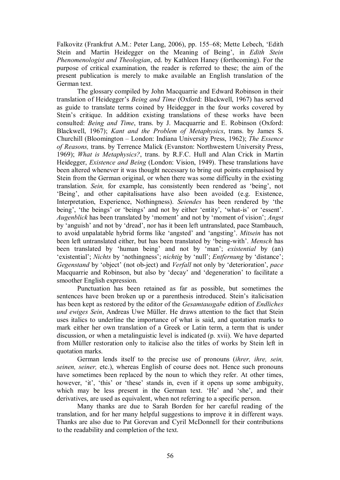Falkovitz (Frankfrut A.M.: Peter Lang, 2006), pp. 155–68; Mette Lebech, 'Edith Stein and Martin Heidegger on the Meaning of Being', in *Edith Stein Phenomenologist and Theologian*, ed. by Kathleen Haney (forthcoming). For the purpose of critical examination, the reader is referred to these; the aim of the present publication is merely to make available an English translation of the German text.

The glossary compiled by John Macquarrie and Edward Robinson in their translation of Heidegger's *Being and Time* (Oxford: Blackwell, 1967) has served as guide to translate terms coined by Heidegger in the four works covered by Stein's critique. In addition existing translations of these works have been consulted: *Being and Time*, trans. by J. Macquarrie and E. Robinson (Oxford: Blackwell, 1967); *Kant and the Problem of Metaphysics*, trans. by James S. Churchill (Bloomington – London: Indiana University Press, 1962); *The Essence of Reasons,* trans. by Terrence Malick (Evanston: Northwestern University Press, 1969); *What is Metaphysics?*, trans. by R.F.C. Hull and Alan Crick in Martin Heidegger, *Existence and Being* (London: Vision, 1949). These translations have been altered whenever it was thought necessary to bring out points emphasised by Stein from the German original, or when there was some difficulty in the existing translation. *Sein,* for example, has consistently been rendered as 'being', not 'Being', and other capitalisations have also been avoided (e.g. Existence, Interpretation, Experience, Nothingness). *Seiendes* has been rendered by 'the being', 'the beings' or 'beings' and not by either 'entity', 'what-is' or 'essent'. *Augenblick* has been translated by 'moment' and not by 'moment of vision'; *Angst* by 'anguish' and not by 'dread', nor has it been left untranslated, pace Stambauch, to avoid unpalatable hybrid forms like 'angsted' and 'angsting'. *Mitsein* has not been left untranslated either, but has been translated by 'being-with'. *Mensch* has been translated by 'human being' and not by 'man'; *existential* by (an) 'existential'; *Nichts* by 'nothingness'; *nichtig* by 'null'; *Entfernung* by 'distance'; *Gegenstand* by 'object' (not ob-ject) and *Verfall* not only by 'deterioration', *pace* Macquarrie and Robinson, but also by 'decay' and 'degeneration' to facilitate a smoother English expression.

Punctuation has been retained as far as possible, but sometimes the sentences have been broken up or a parenthesis introduced. Stein's italicisation has been kept as restored by the editor of the *Gesamtausgabe* edition of *Endliches und ewiges Sein*, Andreas Uwe Müller. He draws attention to the fact that Stein uses italics to underline the importance of what is said, and quotation marks to mark either her own translation of a Greek or Latin term, a term that is under discussion, or when a metalinguistic level is indicated (p. xvii). We have departed from Müller restoration only to italicise also the titles of works by Stein left in quotation marks.

German lends itself to the precise use of pronouns (*ihrer, ihre, sein, seinen, seiner,* etc.), whereas English of course does not. Hence such pronouns have sometimes been replaced by the noun to which they refer. At other times, however, 'it', 'this' or 'these' stands in, even if it opens up some ambiguity, which may be less present in the German text. 'He' and 'she', and their derivatives, are used as equivalent, when not referring to a specific person.

Many thanks are due to Sarah Borden for her careful reading of the translation, and for her many helpful suggestions to improve it in different ways. Thanks are also due to Pat Gorevan and Cyril McDonnell for their contributions to the readability and completion of the text.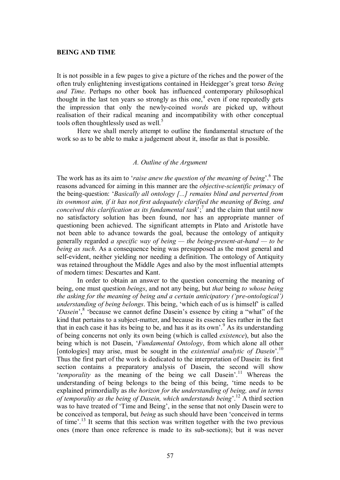#### **BEING AND TIME**

It is not possible in a few pages to give a picture of the riches and the power of the often truly enlightening investigations contained in Heidegger's great torso *Being and Time*. Perhaps no other book has influenced contemporary philosophical thought in the last ten years so strongly as this one,<sup> $4$ </sup> even if one repeatedly gets the impression that only the newlycoined *words* are picked up, without realisation of their radical meaning and incompatibility with other conceptual tools often thoughtlessly used as well.<sup>5</sup>

Here we shall merely attempt to outline the fundamental structure of the work so as to be able to make a judgement about it, insofar as that is possible.

# *A. Outline of the Argument*

The work has as its aim to '*raise anew the question of the meaning of being*'.<sup>6</sup> The reasons advanced for aiming in this manner are the *objective-scientific primacy* of the being-question: '*Basically all ontology [...] remains blind and perverted from its ownmost aim, if it has not first adequately clarified the meaning of Being, and conceived this clarification as its fundamental task*'; <sup>7</sup> and the claim that until now no satisfactory solution has been found, nor has an appropriate manner of questioning been achieved. The significant attempts in Plato and Aristotle have not been able to advance towards the goal, because the ontology of antiquity generally regarded *a specific way of being — the being-present-at-hand — to be being as such*. As a consequence being was presupposed as the most general and self-evident, neither yielding nor needing a definition. The ontology of Antiquity was retained throughout the Middle Ages and also by the most influential attempts of modern times: Descartes and Kant.

In order to obtain an answer to the question concerning the meaning of being, one must question *beings*, and not any being, but *that* being *to whose being the asking for the meaning of being and a certain anticipatory ('pre-ontological') understanding of being belongs*. This being, 'which each of us is himself' is called '*Dasein*',<sup>8</sup> 'because we cannot define Dasein's essence by citing a "what" of the kind that pertains to a subject-matter, and because its essence lies rather in the fact that in each case it has its being to be, and has it as its own'.<sup>9</sup> As its understanding of being concerns not only its own being (which is called *existence*), but also the being which is not Dasein, '*Fundamental Ontology*, from which alone all other [ontologies] may arise, must be sought in the *existential analytic of Dasein*<sup>'.10</sup> Thus the first part of the work is dedicated to the interpretation of Dasein: its first section contains a preparatory analysis of Dasein, the second will show *'temporality* as the meaning of the being we call Dasein'.<sup>11</sup> Whereas the understanding of being belongs to the being of this being, 'time needs to be explained primordially as *the horizon for the understanding of being, and in terms of temporality as the being of Dasein, which understands being*'.<sup>12</sup> A third section was to have treated of 'Time and Being', in the sense that not only Dasein were to be conceived as temporal, but *being* as such should have been 'conceived in terms of time'.<sup>13</sup> It seems that this section was written together with the two previous ones (more than once reference is made to its sub-sections); but it was never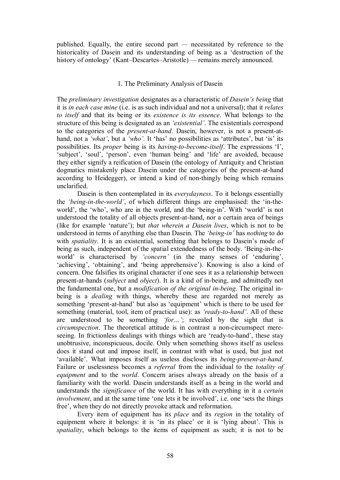published. Equally, the entire second part *—* necessitated by reference to the historicality of Dasein and its understanding of being as a 'destruction of the history of ontology' (Kant–Descartes–Aristotle) — remains merely announced.

### 1. The Preliminary Analysis of Dasein

The *preliminary investigation* designates as a characteristic of *Dasein's being* that it is *in each case mine* (i.e. is as such individual and not a universal); that it *relates to itself* and that its being or its *existence is its essence*. What belongs to the structure of this being is designated as an *'existential'*. The existentials correspond to the categories of the *present-at-hand*. Dasein, however, is not a present-athand, not a *'what'*, but a *'who'.* It 'has' no possibilities as 'attributes', but 'is' its possibilities. Its *proper* being is its *having-to-become-itself*. The expressions 'I', 'subject', 'soul', 'person', even 'human being' and 'life' are avoided, because they either signify a reification of Dasein (the ontology of Antiquity and Christian dogmatics mistakenly place Dasein under the categories of the present-at-hand according to Heidegger), or intend a kind of non-thingly being which remains unclarified.

Dasein is then contemplated in its *everydayness*. To it belongs essentially the 'being-in-the-world', of which different things are emphasised: the 'in-theworld', the 'who', who are in the world, and the 'being-in'. With 'world' is not understood the totality of all objects present-at-hand, nor a certain area of beings (like for example 'nature'); but *that wherein a Dasein lives*, which is not to be understood in terms of anything else than Dasein. The *'being-in'* has *nothing* to do with *spatiality*. It is an existential, something that belongs to Dasein's mode of being as such, independent of the spatial extendedness of the body. 'Being-in-theworld' is characterised by *'concern'* (in the many senses of 'enduring', 'achieving', 'obtaining', and 'being apprehensive'). Knowing is also a kind of concern. One falsifies its original character if one sees it as a relationship between present-at-hands (*subject* and *object*). It is a kind of in-being, and admittedly not the fundamental one, but a *modification of the original in-being*. The original inbeing is a *dealing* with things, whereby these are regarded not merely as something 'present-at-hand' but also as 'equipment' which is there to be used for something (material, tool, item of practical use): as 'ready-to-hand'. All of these are understood to be something *'for…'*; revealed by the sight that is *circumspection*. The theoretical attitude is in contrast a non-circumspect mereseeing. In frictionless dealings with things which are 'ready-to-hand', these stay unobtrusive, inconspicuous, docile. Only when something shows itself as useless does it stand out and impose itself, in contrast with what is used, but just not 'available'. What imposes itself as useless discloses its *being-present-at-hand*. Failure or uselessness becomes a *referral* from the individual to the *totality of equipment* and to the *world*. Concern arises always already on the basis of a familiarity with the world. Dasein understands itself as a being in the world and understands the *significance* of the world. It has with everything in it a *certain involvement*, and at the same time 'one lets it be involved', i.e. one 'sets the things free', when they do not directly provoke attack and reformation.

Every item of equipment has its *place* and its *region* in the totality of equipment where it belongs: it is 'in its place' or it is 'lying about'. This is *spatiality*, which belongs to the items of equipment as such; it is not to be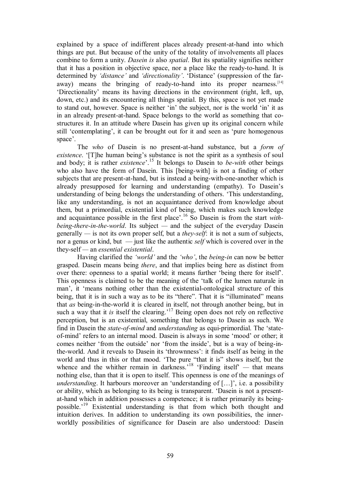explained by a space of indifferent places already present-at-hand into which things are put. But because of the unity of the totality of involvements all places combine to form a unity. *Dasein is* also *spatial*. But its spatiality signifies neither that it has a position in objective space, nor a place like the ready-to-hand. It is determined by *'distance'* and *'directionality'*. 'Distance' (suppression of the faraway) means the bringing of ready-to-hand into its proper nearness.<sup>[14]</sup> 'Directionality' means its having directions in the environment (right, left, up, down, etc.) and its encountering all things spatial. By this, space is not yet made to stand out, however. Space is neither 'in' the subject, nor is the world 'in' it as in an already present-at-hand. Space belongs to the world as something that costructures it. In an attitude where Dasein has given up its original concern while still 'contemplating', it can be brought out for it and seen as 'pure homogenous space'.

The *who* of Dasein is no present-at-hand substance, but a *form of existence*. '[T]he human being's substance is not the spirit as a synthesis of soul and body; it is rather *existence*<sup>'.15</sup> It belongs to Dasein to *be-with* other beings who also have the form of Dasein. This [being-with] is not a finding of other subjects that are present-at-hand, but is instead a being-with-one-another which is already presupposed for learning and understanding (empathy). To Dasein's understanding of being belongs the understanding of others. 'This understanding, like any understanding, is not an acquaintance derived from knowledge about them, but a primordial, existential kind of being, which makes such knowledge and acquaintance possible in the first place'.<sup>16</sup> So Dasein is from the start *withbeing-there-in-the-world*. Its subject — and the subject of the everyday Dasein generally *—* is not its own proper self, but a *theyself*: it is not a sum of subjects, nor a genus or kind, but — just like the authentic *self* which is covered over in the theyself *—* an *essential existential*.

Having clarified the *'world'* and the *'who'*, the *being-in* can now be better grasped. Dasein means being *there*, and that implies being here as distinct from over there: openness to a spatial world; it means further 'being there for itself'. This openness is claimed to be the meaning of the 'talk of the lumen naturale in man', it 'means nothing other than the existential-ontological structure of this being, that it is in such a way as to be its "there". That it is "illuminated" means that *as* being-in-the-world it is cleared in itself, not through another being, but in such a way that it *is* itself the clearing.<sup>17</sup> Being open does not rely on reflective perception, but is an existential, something that belongs to Dasein as such. We find in Dasein the *state-of-mind* and *understanding* as equi-primordial. The 'stateof-mind' refers to an internal mood. Dasein is always in some 'mood' or other; it comes neither 'from the outside' nor 'from the inside', but is a way of being-intheworld. And it reveals to Dasein its 'thrownness': it finds itself as being in the world and thus in this or that mood. 'The pure "that it is" shows itself, but the whence and the whither remain in darkness.<sup>18</sup> 'Finding itself' — that means nothing else, than that it is open to itself. This openness is one of the meanings of *understanding*. It harbours moreover an 'understanding of […]', i.e. a possibility or ability, which as belonging to its being is transparent. 'Dasein is not a present at-hand which in addition possesses a competence; it is rather primarily its beingpossible.<sup>19</sup> Existential understanding is that from which both thought and intuition derives. In addition to understanding its own possibilities, the innerworldly possibilities of significance for Dasein are also understood: Dasein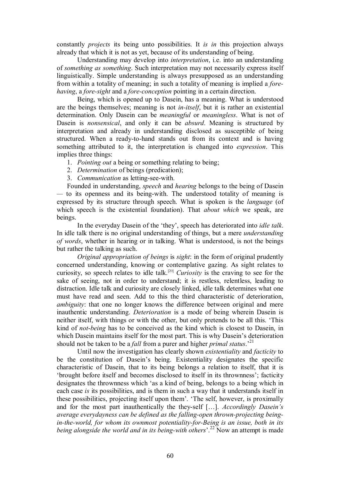constantly *projects* its being unto possibilities. It *is in* this projection always already that which it is not as yet, because of its understanding of being.

Understanding may develop into *interpretation*, i.e. into an understanding of *something as something*. Such interpretation may not necessarily express itself linguistically. Simple understanding is always presupposed as an understanding from within a totality of meaning; in such a totality of meaning is implied a *fore having*, a *fore-sight* and a *fore-conception* pointing in a certain direction.

Being, which is opened up to Dasein, has a meaning. What is understood are the beings themselves; meaning is not *in-itself*, but it is rather an existential determination. Only Dasein can be *meaningful* or *meaningless*. What is not of Dasein is *nonsensical*, and only it can be *absurd*. Meaning is structured by interpretation and already in understanding disclosed as susceptible of being structured. When a ready-to-hand stands out from its context and is having something attributed to it, the interpretation is changed into *expression*. This implies three things:

1. *Pointing out* a being or something relating to being;

- 2. *Determination* of beings (predication);
- 3. *Communication* as letting-see-with.

Founded in understanding, *speech* and *hearing* belongs to the being of Dasein — to its openness and its being-with. The understood totality of meaning is expressed by its structure through speech. What is spoken is the *language* (of which speech is the existential foundation). That *about which* we speak, are beings.

In the everyday Dasein of the 'they', speech has deteriorated into *idle talk*. In idle talk there is no original understanding of things, but a mere *understanding of words*, whether in hearing or in talking. What is understood, is not the beings but rather the talking as such.

*Original appropriation of beings* is *sight*: in the form of original prudently concerned understanding, knowing or contemplative gazing. As sight relates to curiosity, so speech relates to idle talk.[20] *Curiosity* is the craving to see for the sake of seeing, not in order to understand; it is restless, relentless, leading to distraction. Idle talk and curiosity are closely linked, idle talk determines what one must have read and seen. Add to this the third characteristic of deterioration, *ambiguity*: that one no longer knows the difference between original and mere inauthentic understanding. *Deterioration* is a mode of being wherein Dasein is neither itself, with things or with the other, but only pretends to be all this. 'This kind of *notbeing* has to be conceived as the kind which is closest to Dasein, in which Dasein maintains itself for the most part. This is why Dasein's deterioration should not be taken to be a *fall* from a purer and higher *primal status*.' 21

Until now the investigation has clearly shown *existentiality* and *facticity* to be the constitution of Dasein's being. Existentiality designates the specific characteristic of Dasein, that to its being belongs a relation to itself, that it is 'brought before itself and becomes disclosed to itself in its thrownness'; facticity designates the thrownness which 'as a kind of being, belongs to a being which in each case *is* its possibilities, and is them in such a way that it understands itself in these possibilities, projecting itself upon them'. 'The self, however, is proximally and for the most part inauthentically the they-self [...]. *Accordingly Dasein's average everydayness can be defined as the falling-open thrown-projecting beingin-the-world, for whom its ownmost potentiality-for-Being is an issue, both in its being alongside the world and in its being-with others*<sup>'.22</sup> Now an attempt is made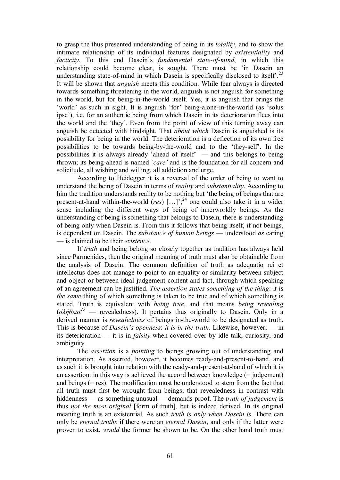to grasp the thus presented understanding of being in its *totality*, and to show the intimate relationship of its individual features designated by *existentiality* and *facticity*. To this end Dasein's *fundamental state-of-mind*, in which this relationship could become clear, is sought. There must be 'in Dasein an understanding state-of-mind in which Dasein is specifically disclosed to itself'.<sup>23</sup> It will be shown that *anguish* meets this condition. While fear always is directed towards something threatening in the world, anguish is not anguish for something in the world, but for being-in-the-world itself. Yes, it is anguish that brings the 'world' as such in sight. It is anguish 'for' being-alone-in-the-world (as 'solus ipse'), i.e. for an authentic being from which Dasein in its deterioration flees into the world and the 'they'. Even from the point of view of this turning away can anguish be detected with hindsight. That *about which* Dasein is anguished is its possibility for being in the world. The deterioration is a deflection of its own free possibilities to be towards being-by-the-world and to the 'they-self'. In the possibilities it is always already 'ahead of itself' *—* and this belongs to being thrown; its being-ahead is named *'care'* and is the foundation for all concern and solicitude, all wishing and willing, all addiction and urge.

According to Heidegger it is a reversal of the order of being to want to understand the being of Dasein in terms of *reality* and *substantiality*. According to him the tradition understands reality to be nothing but 'the being of beings that are present-at-hand within-the-world (*res*) [...]';<sup>24</sup> one could also take it in a wider sense including the different ways of being of innerworldly beings. As the understanding of being is something that belongs to Dasein, there is understanding of being only when Dasein is. From this it follows that being itself, if not beings, is dependent on Dasein. The *substance of human beings* — understood *as* caring — is claimed to be their *existence*.

If *truth* and being belong so closely together as tradition has always held since Parmenides, then the original meaning of truth must also be obtainable from the analysis of Dasein. The common definition of truth as adequatio rei et intellectus does not manage to point to an equality or similarity between subject and object or between ideal judgement content and fact, through which speaking of an agreement can be justified. *The assertion states something of the thing*: it is *the same* thing of which something is taken to be true and of which something is stated. Truth is equivalent with *being true*, and that means *being revealing* ( $\alpha\lambda$ ήθεια<sup>25</sup> — revealedness). It pertains thus originally to Dasein. Only in a derived manner is *revealedness* of beings in-the-world to be designated as truth. This is because of *Dasein's openness*: *it is in the truth*. Likewise, however, — in its deterioration — it is in *falsity* when covered over by idle talk, curiosity, and ambiguity.

The *assertion* is a *pointing* to beings growing out of understanding and interpretation. As asserted, however, it becomes ready-and-present-to-hand, and as such it is brought into relation with the ready-and-present-at-hand of which it is an assertion: in this way is achieved the accord between knowledge (= judgement) and beings (= res). The modification must be understood to stem from the fact that all truth must first be wrought from beings; that revealedness in contrast with hiddenness — as something unusual — demands proof. The *truth of judgement* is thus *not the most original* [form of truth], but is indeed derived. In its original meaning truth is an existential. As such *truth is only when Dasein is*. There can only be *eternal truths* if there were an *eternal Dasein*, and only if the latter were proven to exist, *would* the former be shown to be. On the other hand truth must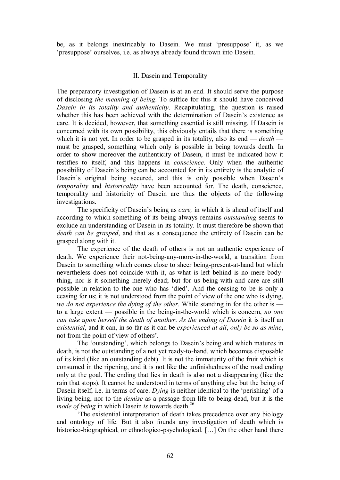be, as it belongs inextricably to Dasein. We must 'presuppose' it, as we 'presuppose' ourselves, i.e. as always already found thrown into Dasein.

#### II. Dasein and Temporality

The preparatory investigation of Dasein is at an end. It should serve the purpose of disclosing *the meaning of being*. To suffice for this it should have conceived *Dasein in its totality and authenticity*. Recapitulating, the question is raised whether this has been achieved with the determination of Dasein's existence as care. It is decided, however, that something essential is still missing. If Dasein is concerned with its own possibility, this obviously entails that there is something which it is not yet. In order to be grasped in its totality, also its end — *death* must be grasped, something which only is possible in being towards death. In order to show moreover the authenticity of Dasein, it must be indicated how it testifies to itself, and this happens in *conscience*. Only when the authentic possibility of Dasein's being can be accounted for in its entirety is the analytic of Dasein's original being secured, and this is only possible when Dasein's *temporality* and *historicality* have been accounted for. The death, conscience, temporality and historicity of Dasein are thus the objects of the following investigations.

The specificity of Dasein's being as *care,* in which it is ahead of itself and according to which something of its being always remains *outstanding* seems to exclude an understanding of Dasein in its totality. It must therefore be shown that *death can be grasped*, and that as a consequence the entirety of Dasein can be grasped along with it.

The experience of the death of others is not an authentic experience of death. We experience their not-being-any-more-in-the-world, a transition from Dasein to something which comes close to sheer being-present-at-hand but which nevertheless does not coincide with it, as what is left behind is no mere bodything, nor is it something merely dead; but for us being-with and care are still possible in relation to the one who has 'died'. And the ceasing to be is only a ceasing for us; it is not understood from the point of view of the one who is dying, *we do not experience the dying of the other*. While standing in for the other is to a large extent — possible in the being-in-the-world which is concern, *no one can take upon herself the death of another*. *As the ending of Dasein* it is itself an *existential*, and it can, in so far as it can be *experienced at all*, *only be so as mine*, not from the point of view of others'.

The 'outstanding', which belongs to Dasein's being and which matures in death, is not the outstanding of a not yet ready-to-hand, which becomes disposable of its kind (like an outstanding debt). It is not the immaturity of the fruit which is consumed in the ripening, and it is not like the unfinishedness of the road ending only at the goal. The ending that lies in death is also not a disappearing (like the rain that stops). It cannot be understood in terms of anything else but the being of Dasein itself, i.e. in terms of care. *Dying* is neither identical to the 'perishing' of a living being, nor to the *demise* as a passage from life to being-dead, but it is the *mode of being* in which Dasein *is* towards death.<sup>26</sup>

'The existential interpretation of death takes precedence over any biology and ontology of life. But it also founds any investigation of death which is historico-biographical, or ethnologico-psychological. [...] On the other hand there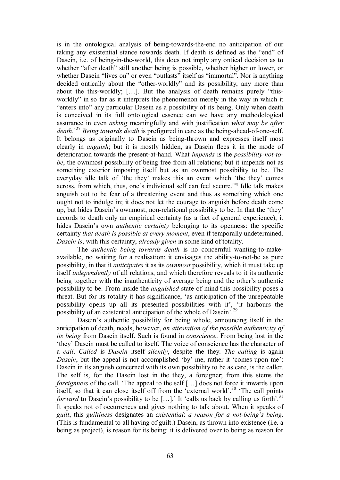is in the ontological analysis of being-towards-the-end no anticipation of our taking any existential stance towards death. If death is defined as the "end" of Dasein, i.e. of being-in-the-world, this does not imply any ontical decision as to whether "after death" still another being is possible, whether higher or lower, or whether Dasein "lives on" or even "outlasts" itself as "immortal". Nor is anything decided ontically about the "other-worldly" and its possibility, any more than about the this-worldly; [...]. But the analysis of death remains purely "thisworldly" in so far as it interprets the phenomenon merely in the way in which it "enters into" any particular Dasein as a possibility of its being. Only when death is conceived in its full ontological essence can we have any methodological assurance in even *asking* meaningfully and with justification *what may be after death*.<sup>27</sup> *Being towards death* is prefigured in care as the being-ahead-of-one-self. It belongs as originally to Dasein as being-thrown and expresses itself most clearly in *anguish*; but it is mostly hidden, as Dasein flees it in the mode of deterioration towards the present-at-hand. What *impends* is the *possibility-not-tobe*, the ownmost possibility of being free from all relations; but it impends not as something exterior imposing itself but as an ownmost possibility to be. The everyday idle talk of 'the they' makes this an event which 'the they' comes across, from which, thus, one's individual self can feel secure.<sup>[28]</sup> Idle talk makes anguish out to be fear of a threatening event and thus as something which one ought not to indulge in; it does not let the courage to anguish before death come up, but hides Dasein's ownmost, non-relational possibility to be. In that the 'they' accords to death only an empirical certainty (as a fact of general experience), it hides Dasein's own *authentic certainty* belonging to its openness: the specific certainty *that death is possible at every moment*, even if temporally undetermined. *Dasein is*, with this certainty, *already given* in some kind of totality.

The *authentic being towards death* is no concernful wanting-to-makeavailable, no waiting for a realisation; it envisages the ability-to-not-be as pure possibility, in that it *anticipates* it as its *ownmost* possibility, which it must take up itself *independently* of all relations, and which therefore reveals to it its authentic being together with the inauthenticity of average being and the other's authentic possibility to be. From inside the *anguished* state-of-mind this possibility poses a threat. But for its totality it has significance, 'as anticipation of the unrepeatable possibility opens up all its presented possibilities with it', 'it harbours the possibility of an existential anticipation of the whole of Dasein'.

Dasein's authentic possibility for being whole, announcing itself in the anticipation of death, needs, however, *an attestation of the possible authenticity of its being* from Dasein itself. Such is found in *conscience*. From being lost in the 'they' Dasein must be called to itself. The voice of conscience has the character of a *call*. *Called* is *Dasein* itself *silently*, despite the they. *The calling* is again *Dasein*, but the appeal is not accomplished 'by' me, rather it 'comes upon me': Dasein in its anguish concerned with its own possibility to be as care, is the caller. The self is, for the Dasein lost in the they, a foreigner; from this stems the *foreignness* of the call. 'The appeal to the self [...] does not force it inwards upon itself, so that it can close itself off from the 'external world'.<sup>30</sup> 'The call points *forward* to Dasein's possibility to be [...].' It 'calls us back by calling us forth'.<sup>31</sup> It speaks not of occurrences and gives nothing to talk about. When it speaks of *guilt*, this *guiltiness* designates an *existential*: *a reason for a notbeing's being*. (This is fundamental to all having of guilt.) Dasein, as thrown into existence (i.e. a being as project), is reason for its being: it is delivered over to being as reason for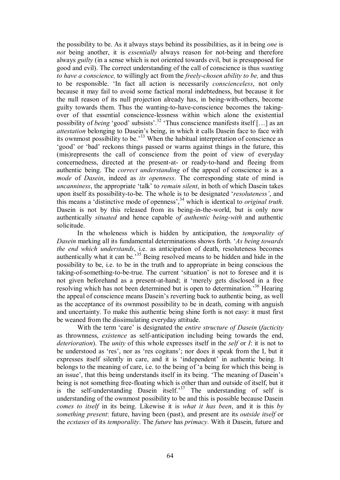the possibility to be. As it always stays behind its possibilities, as it in being *one* is *not* being another, it is *essentially* always reason for not-being and therefore always *guilty* (in a sense which is not oriented towards evil, but is presupposed for good and evil). The correct understanding of the call of conscience is thus *wanting to have a conscience*, to willingly act from the *freely-chosen ability to be*, and thus to be responsible. 'In fact all action is necessarily *conscienceless*, not only because it may fail to avoid some factical moral indebtedness, but because it for the null reason of its null projection already has, in being-with-others, become guilty towards them. Thus the wanting-to-have-conscience becomes the takingover of that essential consciencelessness within which alone the existential possibility of *being* 'good' subsists'.<sup>32</sup> 'Thus conscience manifests itself […] as an *attestation* belonging to Dasein's being, in which it calls Dasein face to face with its ownmost possibility to be.<sup>33</sup> When the habitual interpretation of conscience as 'good' or 'bad' reckons things passed or warns against things in the future, this (mis)represents the call of conscience from the point of view of everyday concernedness, directed at the present-at- or ready-to-hand and fleeing from authentic being. The *correct understanding* of the appeal of conscience is as a *mode* of *Dasein*, indeed as *its openness*. The corresponding state of mind is *uncanniness*, the appropriate 'talk' to *remain silent*, in both of which Dasein takes upon itself its possibility-to-be. The whole is to be designated '*resoluteness'*, and this means a 'distinctive mode of openness',<sup>34</sup> which is identical to *original truth*. Dasein is not by this released from its being-in-the-world, but is only now authentically *situated* and hence capable *of authentic being-with* and authentic solicitude.

In the wholeness which is hidden by anticipation, the *temporality of Dasein* marking all its fundamental determinations shows forth. '*As being towards the end which understands*, i.e. as anticipation of death, resoluteness becomes authentically what it can be.'<sup>35</sup> Being resolved means to be hidden and hide in the possibility to be, i.e. to be in the truth and to appropriate in being conscious the taking-of-something-to-be-true. The current 'situation' is not to foresee and it is not given beforehand as a present-at-hand; it 'merely gets disclosed in a free resolving which has not been determined but is open to determination.<sup>36</sup> Hearing the appeal of conscience means Dasein's reverting back to authentic being, as well as the acceptance of its ownmost possibility to be in death, coming with anguish and uncertainty. To make this authentic being shine forth is not easy: it must first be weaned from the dissimulating everyday attitude.

With the term 'care' is designated the *entire structure of Dasein* (*facticity* as thrownness, *existence* as selfanticipation including being towards the end, *deterioration*). The *unity* of this whole expresses itself in the *self* or *I*: it is not to be understood as 'res', nor as 'res cogitans'; nor does it speak from the I, but it expresses itself silently in care, and it is 'independent' in authentic being. It belongs to the meaning of care, i.e. to the being of 'a being for which this being is an issue', that this being understands itself in its being. 'The meaning of Dasein's being is not something free-floating which is other than and outside of itself, but it is the self-understanding Dasein itself.<sup>37</sup> The understanding of self is understanding of the ownmost possibility to be and this is possible because Dasein *comes to itself* in its being. Likewise it is *what it has been*, and it is this *by something present*: future, having been (past), and present are its *outside itself* or the *ecstases* of its *temporality*. The *future* has *primacy*. With it Dasein, future and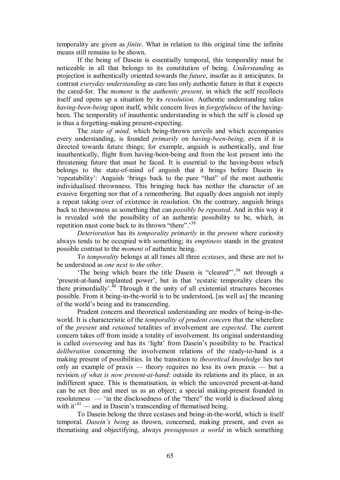temporality are given as *finite*. What in relation to this original time the infinite means still remains to be shown.

If the being of Dasein is essentially temporal, this temporality must be noticeable in all that belongs to its constitution of being. *Understanding* as projection is authentically oriented towards the *future*, insofar as it anticipates. In contrast *everyday understanding* as care has only authentic future in that it expects the cared-for. The *moment* is the *authentic present*, in which the self recollects itself and opens up a situation by its *resolution*. Authentic understanding takes *having-been-being* upon itself, while concern lives in *forgetfulness* of the havingbeen. The temporality of inauthentic understanding in which the self is closed up is thus a forgetting-making present-expecting.

The *state of mind*, which being-thrown unveils and which accompanies every understanding, is founded *primarily* on *having-been-being*, even if it is directed towards future things; for example, anguish is authentically, and fear inauthentically, flight from having-been-being and from the lost present into the threatening future that must be faced. It is essential to the having-been which belongs to the state-of-mind of anguish that it brings before Dasein its 'repeatability': Anguish 'brings back to the pure "that" of the most authentic individualised thrownness. This bringing back has neither the character of an evasive forgetting nor that of a remembering. But equally does anguish not imply a repeat taking over of existence in resolution. On the contrary, anguish brings back to thrownness as something that can *possibly be repeated*. And in this way it is revealed *with* the possibility of an authentic possibility to be, which, in repetition must come back to its thrown "there".<sup>38</sup>

*Deterioration* has its *temporality primarily* in the *present* where curiosity always tends to be occupied with something; its *emptiness* stands in the greatest possible contrast to the *moment* of authentic being.

To *temporality* belongs at all times all three *ecstases*, and these are not to be understood as *one next to the other*.

'The being which bears the title Dasein is "cleared"',<sup>39</sup> not through a 'present-at-hand implanted power', but in that 'ecstatic temporality clears the there primordially'.<sup>40</sup> Through it the unity of all existential structures becomes possible. From it being-in-the-world is to be understood, [as well as] the meaning of the world's being and its transcending.

Prudent concern and theoretical understanding are modes of being-in-theworld. It is characteristic of the *temporality of prudent concern* that the wherefore of the *present* and *retained* totalities of involvement are *expected*. The current concern takes off from inside a totality of involvement. Its original understanding is called *overseeing* and has its 'light' from Dasein's possibility to be. Practical *deliberation* concerning the involvement relations of the ready-to-hand is a making present of possibilities. In the transition to *theoretical knowledge* lies not only an example of praxis — theory requires no less its own praxis — but a revision *of what is now present-at-hand*: outside its relations and its place, in an indifferent space. This is thematisation, in which the uncovered present-at-hand can be set free and meet us as an object; a special making-present founded in resoluteness — 'in the disclosedness of the "there" the world is disclosed along with it<sup> $14$ </sup> — and in Dasein's transcending of thematised being.

To Dasein belong the three ecstases and being-in-the-world, which is itself temporal. *Dasein's being* as thrown, concerned, making present, and even as thematising and objectifying, always *presupposes a world* in which something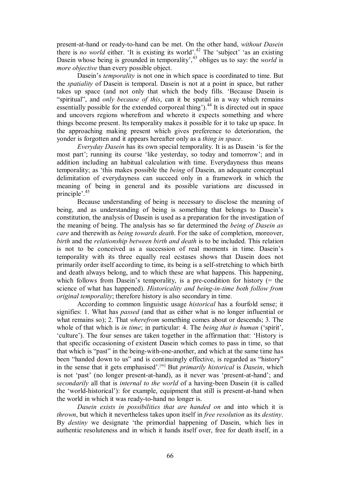present-at-hand or ready-to-hand can be met. On the other hand, *without Dasein* there is *no world* either. 'It is existing its world'.<sup>42</sup> The 'subject' 'as an existing Dasein whose being is grounded in temporality',<sup>43</sup> obliges us to say: the *world* is *more objective* than every possible object.

Dasein's *temporality* is not one in which space is coordinated to time. But the *spatiality* of Dasein is temporal. Dasein is not at a point in space, but rather takes up space (and not only that which the body fills. 'Because Dasein is "spiritual", and *only because of this*, can it be spatial in a way which remains essentially possible for the extended corporeal thing').<sup>44</sup> It is directed out in space and uncovers regions wherefrom and whereto it expects something and where things become present. Its temporality makes it possible for it to take up space. In the approaching making present which gives preference to deterioration, the yonder is forgotten and it appears hereafter only as a *thing in space*.

*Everyday Dasein* has its own special temporality. It is as Dasein 'is for the most part'; running its course 'like yesterday, so today and tomorrow'; and in addition including an habitual calculation with time. Everydayness thus means temporality; as 'this makes possible the *being* of Dasein, an adequate conceptual delimitation of everydayness can succeed only in a framework in which the meaning of being in general and its possible variations are discussed in principle'.<sup>45</sup>

Because understanding of being is necessary to disclose the meaning of being, and as understanding of being is something that belongs to Dasein's constitution, the analysis of Dasein is used as a preparation for the investigation of the meaning of being. The analysis has so far determined the *being of Dasein as care* and therewith as *being towards death*. For the sake of completion, moreover, *birth* and the *relationship between birth and death* is to be included. This relation is not to be conceived as a succession of real moments in time. Dasein's temporality with its three equally real ecstases shows that Dasein does not primarily order itself according to time, its being is a self-stretching to which birth and death always belong, and to which these are what happens. This happening, which follows from Dasein's temporality, is a pre-condition for history  $(=$  the science of what has happened). *Historicality and being-in-time both follow from original temporality*; therefore history is also secondary in time.

According to common linguistic usage *historical* has a fourfold sense; it signifies: 1. What has *passed* (and that as either what is no longer influential or what remains so); 2. That *wherefrom* something comes about or descends; 3. The whole of that which is *in time*; in particular: 4. The *being that is human* ('spirit', 'culture'). The four senses are taken together in the affirmation that: 'History is that specific occasioning of existent Dasein which comes to pass in time, so that that which is "past" in the being-with-one-another, and which at the same time has been "handed down to us" and is continuingly effective, is regarded as "history" in the sense that it gets emphasised'. [46] But *primarily historical* is *Dasein*, which is not 'past' (no longer present-at-hand), as it never was 'present-at-hand'; and *secondarily* all that is *internal to the world* of a having-been Dasein (it is called the 'world-historical'): for example, equipment that still is present-at-hand when the world in which it was ready-to-hand no longer is.

*Dasein exists in possibilities that are handed on* and into which it is *thrown*, but which it nevertheless takes upon itself in *free resolution* as its *destiny*. By *destiny* we designate 'the primordial happening of Dasein, which lies in authentic resoluteness and in which it hands itself over, free for death itself, in a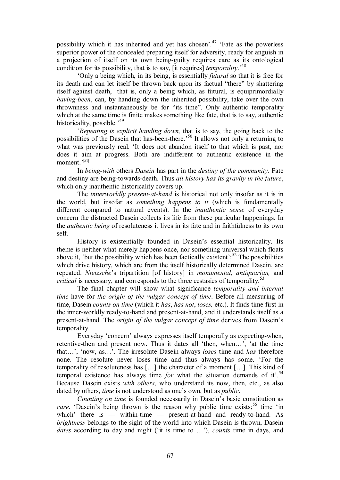possibility which it has inherited and yet has chosen'.<sup>47</sup> 'Fate as the powerless superior power of the concealed preparing itself for adversity, ready for anguish in a projection of itself on its own being-guilty requires care as its ontological condition for its possibility, that is to say, [it requires] *temporality*.' 48

'Only a being which, in its being, is essentially *futural* so that it is free for its death and can let itself be thrown back upon its factual "there" by shattering itself against death, that is, only a being which, as futural, is equiprimordially *having-been*, can, by handing down the inherited possibility, take over the own thrownness and instantaneously be for "its time". Only authentic temporality which at the same time is finite makes something like fate, that is to say, authentic historicality, possible.<sup>'49</sup>

'*Repeating is explicit handing down,* that is to say, the going back to the possibilities of the Dasein that has-been-there.<sup>50</sup> It allows not only a returning to what was previously real. 'It does not abandon itself to that which is past, nor does it aim at progress. Both are indifferent to authentic existence in the moment.'<sup>[51]</sup>

In *being-with* others *Dasein* has part in the *destiny of the community*. Fate and destiny are being-towards-death. Thus *all history has its gravity in the future*, which only inauthentic historicality covers up.

The *innerworldly present-at-hand* is historical not only insofar as it is in the world, but insofar as *something happens to it* (which is fundamentally different compared to natural events). In the *inauthentic sense* of everyday concern the distracted Dasein collects its life from these particular happenings. In the *authentic being* of resoluteness it lives in its fate and in faithfulness to its own self.

History is existentially founded in Dasein's essential historicality. Its theme is neither what merely happens once, nor something universal which floats above it, 'but the possibility which has been factically existent':  $52$  The possibilities which drive history, which are from the itself historically determined Dasein, are repeated. *Nietzsche*'s tripartition [of history] in *monumental, antiquarian,* and *critical* is necessary, and corresponds to the three ecstasies of temporality.<sup>53</sup>

The final chapter will show what significance *temporality and internal time* have for *the origin of the vulgar concept of time*. Before all measuring of time, Dasein *counts on time* (which it *has*, *has not*, *loses,* etc.). It finds time first in the inner-worldly ready-to-hand and present-at-hand, and it understands itself as a presentathand. The *origin of the vulgar concept of time* derives from Dasein's temporality.

Everyday 'concern' always expresses itself temporally as expecting-when, retentive-then and present now. Thus it dates all 'then, when...', 'at the time that…', 'now, as…'. The irresolute Dasein always *loses* time and *has* therefore none. The resolute never loses time and thus always has some. 'For the temporality of resoluteness has […] the character of a moment […]. This kind of temporal existence has always time *for* what the situation demands of it<sup> $54$ </sup>.<sup>54</sup> Because Dasein exists *with others*, who understand its now, then, etc., as also dated by others, *time* is not understood as one's own, but as *public*.

*Counting on time* is founded necessarily in Dasein's basic constitution as care. 'Dasein's being thrown is the reason why public time exists;<sup>55</sup> time 'in which' there is — within-time — present-at-hand and ready-to-hand. As *brightness* belongs to the sight of the world into which Dasein is thrown, Dasein dates according to day and night ('it is time to ...'), *counts* time in days, and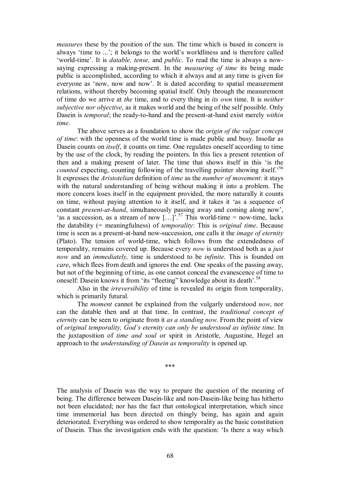*measures* these by the position of the sun. The time which is based in concern is always 'time to ...'; it belongs to the world's worldliness and is therefore called 'world-time'. It is *datable, tense,* and *public*. To read the time is always a nowsaying expressing a making-present. In the *measuring of time* its being made public is accomplished, according to which it always and at any time is given for everyone as 'now, now and now'. It is dated according to spatial measurement relations, without thereby becoming spatial itself. Only through the measurement of time do we arrive at *the* time, and to every thing in *its own* time. It is *neither subjective nor objective*, as it makes world and the being of the self possible. Only Dasein is *temporal*; the ready-to-hand and the present-at-hand exist merely *within time*.

The above serves as a foundation to show the *origin of the vulgar concept of time*: with the openness of the world time is made public and busy. Insofar as Dasein counts on *itself*, it counts on time. One regulates oneself according to time by the use of the clock, by reading the pointers. In this lies a present retention of then and a making present of later. The time that shows itself in this 'is the *counted* expecting, counting following of the travelling pointer showing itself.<sup>56</sup> It expresses the *Aristotelian* definition of *time* as the *number of movement*: it stays with the natural understanding of being without making it into a problem. The more concern loses itself in the equipment provided, the more naturally it counts on time, without paying attention to it itself, and it takes it 'as a sequence of constant *present-at-hand*, simultaneously passing away and coming along now', 'as a succession, as a stream of now  $\left[\ldots\right]$ <sup>57</sup>.<sup>57</sup> This world-time = now-time, lacks the datability (= meaningfulness) of *temporality*: This is *original time*. Because time is seen as a present-at-hand now-succession, one calls it the *image of eternity* (Plato). The tension of world-time, which follows from the extendedness of temporality, remains covered up. Because every *now* isunderstood both as a *just now* and an *immediately,* time is understood to be *infinite*. This is founded on *care*, which flees from death and ignores the end. One speaks of the passing away, but not of the beginning of time, as one cannot conceal the evanescence of time to oneself: Dasein knows it from 'its "fleeting" knowledge about its death'.<sup>58</sup>

Also in the *irreversibility* of time is revealed its origin from temporality, which is primarily futural.

The *moment* cannot be explained from the vulgarly understood *now*, nor can the datable then and at that time. In contrast, the *traditional concept of eternity* can be seen to originate from it *as a standing now*. From the point of view of *original temporality, God's eternity can only be understood as infinite time*. In the juxtaposition of *time and soul* or spirit in Aristotle, Augustine, Hegel an approach to the *understanding of Dasein as temporality* is opened up.

\*\*\*

The analysis of Dasein was the way to prepare the question of the meaning of being. The difference between Dasein-like and non-Dasein-like being has hitherto not been elucidated; nor has the fact that ontological interpretation, which since time immemorial has been directed on thingly being, has again and again deteriorated. Everything was ordered to show temporality as the basic constitution of Dasein. Thus the investigation ends with the question: 'Is there a way which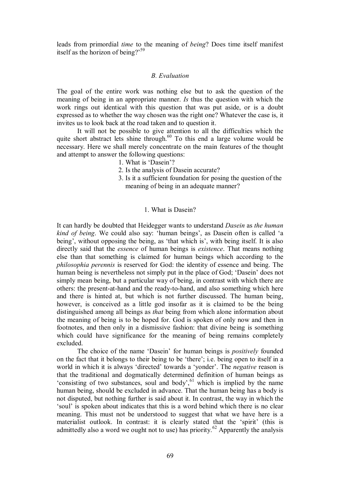leads from primordial *time* to the meaning of *being*? Does time itself manifest itself as the horizon of being?' 59

#### *B. Evaluation*

The goal of the entire work was nothing else but to ask the question of the meaning of being in an appropriate manner. *Is* thus the question with which the work rings out identical with this question that was put aside, or is a doubt expressed as to whether the way chosen was the right one? Whatever the case is, it invites us to look back at the road taken and to question it.

It will not be possible to give attention to all the difficulties which the quite short abstract lets shine through.<sup>60</sup> To this end a large volume would be necessary. Here we shall merely concentrate on the main features of the thought and attempt to answer the following questions:

1. What is 'Dasein'?

- 2. Is the analysis of Dasein accurate?
- 3. Is it a sufficient foundation for posing the question of the meaning of being in an adequate manner?

#### 1. What is Dasein?

It can hardly be doubted that Heidegger wants to understand *Dasein* as *the human kind of being*. We could also say: 'human beings', as Dasein often is called 'a being', without opposing the being, as 'that which is', with being itself. It is also directly said that the *essence* of human beings is *existence*. That means nothing else than that something is claimed for human beings which according to the *philosophia perennis* is reserved for God: the identity of essence and being. The human being is nevertheless not simply put in the place of God; 'Dasein' does not simply mean being, but a particular way of being, in contrast with which there are others: the present-at-hand and the ready-to-hand, and also something which here and there is hinted at, but which is not further discussed. The human being, however, is conceived as a little god insofar as it is claimed to be the being distinguished among all beings as *that* being from which alone information about the meaning of being is to be hoped for. God is spoken of only now and then in footnotes, and then only in a dismissive fashion: that divine being is something which could have significance for the meaning of being remains completely excluded.

The choice of the name 'Dasein' for human beings is *positively* founded on the fact that it belongs to their being to be 'there'; i.e. being open to itself in a world in which it is always 'directed' towards a 'yonder'. The *negative* reason is that the traditional and dogmatically determined definition of human beings as 'consisting of two substances, soul and body', $61$  which is implied by the name human being, should be excluded in advance. That the human being has a body is not disputed, but nothing further is said about it. In contrast, the way in which the 'soul' is spoken about indicates that this is a word behind which there is no clear meaning. This must not be understood to suggest that what we have here is a materialist outlook. In contrast: it is clearly stated that the 'spirit' (this is admittedly also a word we ought not to use) has priority.<sup>62</sup> Apparently the analysis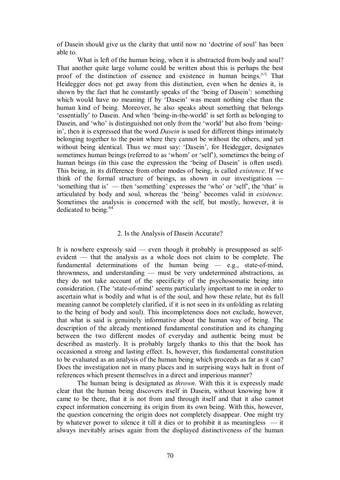of Dasein should give us the clarity that until now no 'doctrine of soul' has been able to.

What is left of the human being, when it is abstracted from body and soul? That another quite large volume could be written about this is perhaps the best proof of the distinction of essence and existence in human beings.<sup>[63]</sup> That Heidegger does not get away from this distinction, even when he denies it, is shown by the fact that he constantly speaks of the 'being of Dasein': something which would have no meaning if by 'Dasein' was meant nothing else than the human kind of being. Moreover, he also speaks about something that belongs 'essentially' to Dasein. And when 'being-in-the-world' is set forth as belonging to Dasein, and 'who' is distinguished not only from the 'world' but also from 'beingin', then it is expressed that the word *Dasein* is used for different things intimately belonging together to the point where they cannot be without the others, and yet without being identical. Thus we must say: 'Dasein', for Heidegger, designates sometimes human beings (referred to as 'whom' or 'self'), sometimes the being of human beings (in this case the expression the 'being of Dasein' is often used). This being, in its difference from other modes of being, is called *existence*. If we think of the formal structure of beings, as shown in our investigations — 'something that is' — then 'something' expresses the 'who' or 'self', the 'that' is articulated by body and soul, whereas the 'being' becomes valid in *existence*. Sometimes the analysis is concerned with the self, but mostly, however, it is dedicated to being.<sup>64</sup>

### 2. Is the Analysis of Dasein Accurate?

It is nowhere expressly said — even though it probably is presupposed as self evident — that the analysis as a whole does not claim to be complete. The fundamental determinations of the human being  $-$  e.g., state-of-mind, thrownness, and understanding — must be very undetermined abstractions, as they do not take account of the specificity of the psychosomatic being into consideration. (The 'state-of-mind' seems particularly important to me in order to ascertain what is bodily and what is of the soul, and how these relate, but its full meaning cannot be completely clarified, if it is not seen in its unfolding as relating to the being of body and soul). This incompleteness does not exclude, however, that what is said is genuinely informative about the human way of being. The description of the already mentioned fundamental constitution and its changing between the two different modes of everyday and authentic being must be described as masterly. It is probably largely thanks to this that the book has occasioned a strong and lasting effect. Is, however, this fundamental constitution to be evaluated as an analysis of the human being which proceeds as far as it can? Does the investigation not in many places and in surprising ways halt in front of references which present themselves in a direct and imperious manner?

The human being is designated as *thrown*. With this it is expressly made clear that the human being discovers itself in Dasein, without knowing how it came to be there, that it is not from and through itself and that it also cannot expect information concerning its origin from its own being. With this, however, the question concerning the origin does not completely disappear. One might try by whatever power to silence it till it dies or to prohibit it as meaningless — it always inevitably arises again from the displayed distinctiveness of the human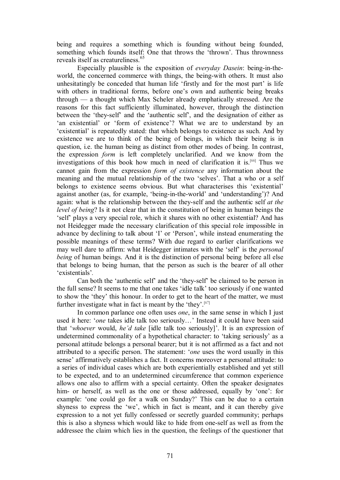being and requires a something which is founding without being founded, something which founds itself: One that throws the 'thrown'. Thus thrownness reveals itself as creatureliness.<sup>65</sup>

Especially plausible is the exposition of *everyday Dasein*: being-in-theworld, the concerned commerce with things, the being-with others. It must also unhesitatingly be conceded that human life 'firstly and for the most part' is life with others in traditional forms, before one's own and authentic being breaks through — a thought which Max Scheler already emphatically stressed. Are the reasons for this fact sufficiently illuminated, however, through the distinction between the 'theyself' and the 'authentic self', and the designation of either as 'an existential' or 'form of existence'? What we are to understand by an 'existential' is repeatedly stated: that which belongs to existence as such. And by existence we are to think of the being of beings, in which their being is in question, i.e. the human being as distinct from other modes of being. In contrast, the expression *form* is left completely unclarified. And we know from the investigations of this book how much in need of clarification it is. [66] Thus we cannot gain from the expression *form of existence* any information about the meaning and the mutual relationship of the two 'selves'. That a who or a self belongs to existence seems obvious. But what characterises this 'existential' against another (as, for example, 'being-in-the-world' and 'understanding')? And again: what is the relationship between the they-self and the authentic self *at the level of being*? Is it not clear that in the constitution of being in human beings the 'self' plays a very special role, which it shares with no other existential? And has not Heidegger made the necessary clarification of this special role impossible in advance by declining to talk about 'I' or 'Person', while instead enumerating the possible meanings of these terms? With due regard to earlier clarifications we may well dare to affirm: what Heidegger intimates with the 'self' is the *personal being* of human beings. And it is the distinction of personal being before all else that belongs to being human, that the person as such is the bearer of all other 'existentials'*.*

Can both the 'authentic self' and the 'they-self' be claimed to be person in the full sense? It seems to me that one takes 'idle talk' too seriously if one wanted to show the 'they' this honour. In order to get to the heart of the matter, we must further investigate what in fact is meant by the 'they'.  $[67]$ 

In common parlance one often uses *one*, in the same sense in which I just used it here: '*one* takes idle talk too seriously…' Instead it could have been said that '*whoever* would, *he'd take* [idle talk too seriously]'. It is an expression of undetermined commonality of a hypothetical character: to 'taking seriously' as a personal attitude belongs a personal bearer; but it is not affirmed as a fact and not attributed to a specific person. The statement: '*one* uses the word usually in this sense' affirmatively establishes a fact. It concerns moreover a personal attitude: to a series of individual cases which are both experientially established and yet still to be expected, and to an undetermined circumference that common experience allows one also to affirm with a special certainty. Often the speaker designates him- or herself, as well as the one or those addressed, equally by 'one': for example: 'one could go for a walk on Sunday?' This can be due to a certain shyness to express the 'we', which in fact is meant, and it can thereby give expression to a not yet fully confessed or secretly guarded community; perhaps this is also a shyness which would like to hide from oneself as well as from the addressee the claim which lies in the question, the feelings of the questioner that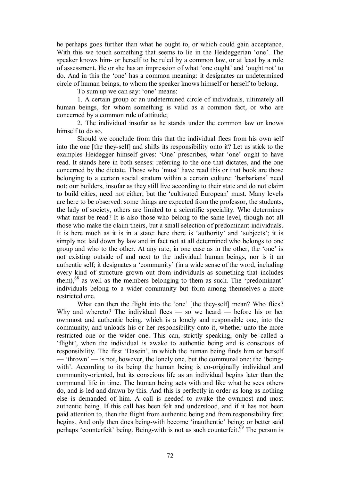he perhaps goes further than what he ought to, or which could gain acceptance. With this we touch something that seems to lie in the Heideggerian 'one'. The speaker knows him- or herself to be ruled by a common law, or at least by a rule of assessment. He or she has an impression of what 'one ought' and 'ought not' to do. And in this the 'one' has a common meaning: it designates an undetermined circle of human beings, to whom the speaker knows himself or herself to belong.

To sum up we can say: 'one' means:

1. A certain group or an undetermined circle of individuals, ultimately all human beings, for whom something is valid as a common fact, or who are concerned by a common rule of attitude;

2. The individual insofar as he stands under the common law or knows himself to do so.

Should we conclude from this that the individual flees from his own self into the one [the they-self] and shifts its responsibility onto it? Let us stick to the examples Heidegger himself gives: 'One' prescribes, what 'one' ought to have read. It stands here in both senses: referring to the one that dictates, and the one concerned by the dictate. Those who 'must' have read this or that book are those belonging to a certain social stratum within a certain culture: 'barbarians' need not; our builders, insofar as they still live according to their state and do not claim to build cities, need not either; but the 'cultivated European' must. Many levels are here to be observed: some things are expected from the professor, the students, the lady of society, others are limited to a scientific speciality. Who determines what must be read? It is also those who belong to the same level, though not all those who make the claim theirs, but a small selection of predominant individuals. It is here much as it is in a state: here there is 'authority' and 'subjects'; it is simply not laid down by law and in fact not at all determined who belongs to one group and who to the other. At any rate, in one case as in the other, the 'one' is not existing outside of and next to the individual human beings, nor is it an authentic self; it designates a 'community' (in a wide sense of the word, including every kind of structure grown out from individuals as something that includes them),<sup>68</sup> as well as the members belonging to them as such. The 'predominant' individuals belong to a wider community but form among themselves a more restricted one.

What can then the flight into the 'one' [the they-self] mean? Who flies? Why and whereto? The individual flees  $-$  so we heard  $-$  before his or her ownmost and authentic being, which is a lonely and responsible one, into the community, and unloads his or her responsibility onto it, whether unto the more restricted one or the wider one. This can, strictly speaking, only be called a 'flight', when the individual is awake to authentic being and is conscious of responsibility. The first 'Dasein', in which the human being finds him or herself — 'thrown' — is not, however, the lonely one, but the communal one: the 'beingwith'. According to its being the human being is co-originally individual and community-oriented, but its conscious life as an individual begins later than the communal life in time. The human being acts with and like what he sees others do, and is led and drawn by this. And this is perfectly in order as long as nothing else is demanded of him. A call is needed to awake the ownmost and most authentic being. If this call has been felt and understood, and if it has not been paid attention to, then the flight from authentic being and from responsibility first begins. And only then does being-with become 'inauthentic' being: or better said perhaps 'counterfeit' being. Being-with is not as such counterfeit.<sup> $69$ </sup> The person is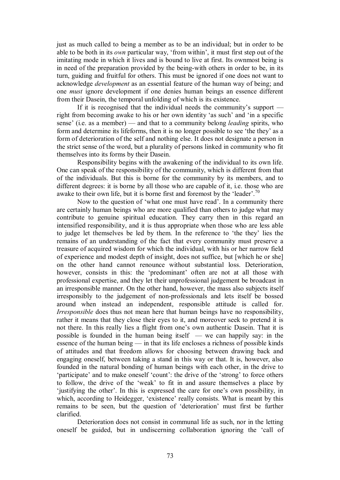just as much called to being a member as to be an individual; but in order to be able to be both in its *own* particular way, 'from within', it must first step out of the imitating mode in which it lives and is bound to live at first. Its ownmost being is in need of the preparation provided by the being-with others in order to be, in its turn, guiding and fruitful for others. This must be ignored if one does not want to acknowledge *development* as an essential feature of the human way of being; and one *must* ignore development if one denies human beings an essence different from their Dasein, the temporal unfolding of which is its existence.

If it is recognised that the individual needs the community's support  $$ right from becoming awake to his or her own identity 'as such' and 'in a specific sense' (i.e. as a member) — and that to a community belong *leading* spirits, who form and determine its lifeforms, then it is no longer possible to see 'the they' as a form of deterioration of the self and nothing else. It does not designate a person in the strict sense of the word, but a plurality of persons linked in community who fit themselves into its forms by their Dasein.

Responsibility begins with the awakening of the individual to its own life. One can speak of the responsibility of the community, which is different from that of the individuals. But this is borne for the community by its members, and to different degrees: it is borne by all those who are capable of it, i.e. those who are awake to their own life, but it is borne first and foremost by the 'leader'.<sup>70</sup>

Now to the question of 'what one must have read'. In a community there are certainly human beings who are more qualified than others to judge what may contribute to genuine spiritual education. They carry then in this regard an intensified responsibility, and it is thus appropriate when those who are less able to judge let themselves be led by them. In the reference to 'the they' lies the remains of an understanding of the fact that every community must preserve a treasure of acquired wisdom forwhich the individual, with his or her narrow field of experience and modest depth of insight, does not suffice, but [which he or she] on the other hand cannot renounce without substantial loss. Deterioration, however, consists in this: the 'predominant' often are not at all those with professional expertise, and they let their unprofessional judgement be broadcast in an irresponsible manner. On the other hand, however, the mass also subjects itself irresponsibly to the judgement of non-professionals and lets itself be bossed around when instead an independent, responsible attitude is called for. *Irresponsible* does thus not mean here that human beings have no responsibility, rather it means that they close their eyes to it, and moreover seek to pretend it is not there. In this really lies a flight from one's own authentic Dasein. That it is possible is founded in the human being itself — we can happily say: in the essence of the human being — in that its life encloses a richness of possible kinds of attitudes and that freedom allows for choosing between drawing back and engaging oneself, between taking a stand in this way or that. It is, however, also founded in the natural bonding of human beings with each other, in the drive to 'participate' and to make oneself 'count': the drive of the 'strong' to force others to follow, the drive of the 'weak' to fit in and assure themselves a place by 'justifying the other'. In this is expressed the care for one's own possibility, in which, according to Heidegger, 'existence' really consists. What is meant by this remains to be seen, but the question of 'deterioration' must first be further clarified.

Deterioration does not consist in communal life as such, nor in the letting oneself be guided, but in undiscerning collaboration ignoring the 'call of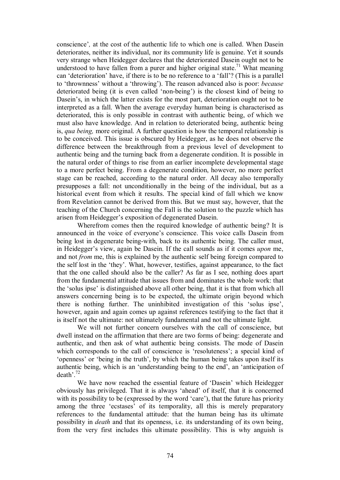conscience'*,* at the cost of the authentic life to which one is called. When Dasein deteriorates, neither its individual, nor its community life is genuine. Yet it sounds very strange when Heidegger declares that the deteriorated Dasein ought not to be understood to have fallen from a purer and higher original state.<sup>71</sup> What meaning can 'deterioration' have, if there is to be no reference to a 'fall'? (This is a parallel to 'thrownness' without a 'throwing'). The reason advanced also is poor: *because* deteriorated being (it is even called 'non-being') is the closest kind of being to Dasein's, in which the latter exists for the most part, deterioration ought not to be interpreted as a fall. When the average everyday human being is characterised as deteriorated, this is only possible in contrast with authentic being, of which we must also have knowledge. And in relation to deteriorated being, authentic being is, *qua being,* more original. A further question is how the temporal relationship is to be conceived. This issue is obscured by Heidegger, as he does not observe the difference between the breakthrough from a previous level of development to authentic being and the turning back from a degenerate condition. It is possible in the natural order of things to rise from an earlier incomplete developmental stage to a more perfect being. From a degenerate condition, however, no more perfect stage can be reached, according to the natural order. All decay also temporally presupposes a fall: not unconditionally in the being of the individual, but as a historical event from which it results. The special kind of fall which we know from Revelation cannot be derived from this. But we must say, however, that the teaching of the Church concerning the Fall is the solution to the puzzle which has arisen from Heidegger's exposition of degenerated Dasein.

Wherefrom comes then the required knowledge of authentic being? It is announced in the voice of everyone's conscience. This voice calls Dasein from being lost in degenerate being-with, back to its authentic being. The caller must, in Heidegger's view, again be Dasein. If the call sounds as if it comes *upon* me, and not *from* me, this is explained by the authentic self being foreign compared to the self lost in the 'they'. What, however, testifies, against appearance, to the fact that the one called should also be the caller? As far as I see, nothing does apart from the fundamental attitude that issues from and dominates the whole work: that the 'solus ipse' is distinguished above all other being, that it is that from which all answers concerning being is to be expected, the ultimate origin beyond which there is nothing further. The uninhibited investigation of this 'solus ipse', however, again and again comes up against references testifying to the fact that it is itself not the ultimate: not ultimately fundamental and not the ultimate light.

We will not further concern ourselves with the call of conscience, but dwell instead on the affirmation that there are two forms of being: degenerate and authentic, and then ask of what authentic being consists. The mode of Dasein which corresponds to the call of conscience is 'resoluteness'; a special kind of 'openness' or 'being in the truth', by which the human being takes upon itself its authentic being, which is an 'understanding being to the end', an 'anticipation of death<sup> $, 72$ </sup>

We have now reached the essential feature of 'Dasein' which Heidegger obviously has privileged. That it is always 'ahead' of itself, that it is concerned with its possibility to be (expressed by the word 'care'), that the future has priority among the three 'ecstases' of its temporality, all this is merely preparatory references to the fundamental attitude: that the human being has its ultimate possibility in *death* and that its openness, i.e. its understanding of its own being, from the very first includes this ultimate possibility. This is why anguish is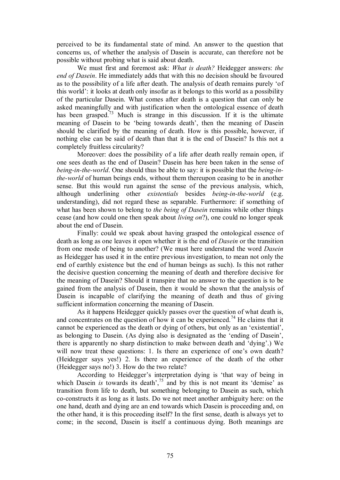perceived to be its fundamental state of mind. An answer to the question that concerns us, of whether the analysis of Dasein is accurate, can therefore not be possible without probing what is said about death.

We must first and foremost ask: *What is death?* Heidegger answers: *the end of Dasein*. He immediately adds that with this no decision should be favoured as to the possibility of a life after death. The analysis of death remains purely 'of this world': it looks at death only insofar as it belongs to this world as a possibility of the particular Dasein. What comes after death is a question that can only be asked meaningfully and with justification when the ontological essence of death has been grasped.<sup> $73$ </sup> Much is strange in this discussion. If it is the ultimate meaning of Dasein to be 'being towards death', then the meaning of Dasein should be clarified by the meaning of death. How is this possible, however, if nothing else can be said of death than that it is the end of Dasein? Is this not a completely fruitless circularity?

Moreover: does the possibility of a life after death really remain open, if one sees death as the end of Dasein? Dasein has here been taken in the sense of *being-in-the-world*. One should thus be able to say: it is possible that the *being-inthe-world* of human beings ends, without them thereupon ceasing to be in another sense. But this would run against the sense of the previous analysis, which, although underlining other *existentials* besides *being-in-the-world* (e.g. understanding), did not regard these as separable. Furthermore: if something of what has been shown to belong to *the being of Dasein* remains while other things cease (and how could one then speak about *living on*?), one could no longer speak about the end of Dasein.

Finally: could we speak about having grasped the ontological essence of death as long as one leaves it open whether it is the end of *Dasein* or the transition from one mode of being to another? (We must here understand the word *Dasein* as Heidegger has used it in the entire previous investigation, to mean not only the end of earthly existence but the end of human beings as such). Is this not rather the decisive question concerning the meaning of death and therefore decisive for the meaning of Dasein? Should it transpire that no answer to the question is to be gained from the analysis of Dasein, then it would be shown that the analysis of Dasein is incapable of clarifying the meaning of death and thus of giving sufficient information concerning the meaning of Dasein.

As it happens Heidegger quickly passes over the question of what death is, and concentrates on the question of how it can be experienced.<sup>74</sup> He claims that it cannot be experienced as the death or dying of others, but only as an 'existential', as belonging to Dasein. (As dying also is designated as the 'ending of Dasein', there is apparently no sharp distinction to make between death and 'dying'.) We will now treat these questions: 1. Is there an experience of one's own death? (Heidegger says yes!) 2. Is there an experience of the death of the other (Heidegger says no!) 3. How do the two relate?

According to Heidegger's interpretation dying is 'that way of being in which Dasein *is* towards its death',<sup>75</sup> and by this is not meant its 'demise' as transition from life to death, but something belonging to Dasein as such, which coconstructs it as long as it lasts. Do we not meet another ambiguity here: on the one hand, death and dying are an end towards which Dasein is proceeding and, on the other hand, it is this proceeding itself? In the first sense, death is always yet to come; in the second, Dasein is itself a continuous dying. Both meanings are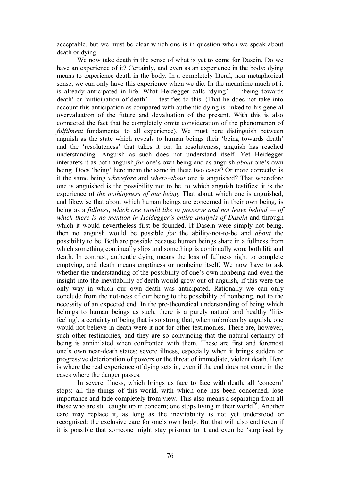acceptable, but we must be clear which one is in question when we speak about death or dying.

We now take death in the sense of what is yet to come for Dasein. Do we have an experience of it? Certainly, and even as an experience in the body; dying means to experience death in the body. In a completely literal, non-metaphorical sense, we can only have this experience when we die. In the meantime much of it is already anticipated in life. What Heidegger calls 'dying' — 'being towards death' or 'anticipation of death' — testifies to this. (That he does not take into account this anticipation as compared with authentic dying is linked to his general overvaluation of the future and devaluation of the present. With this is also connected the fact that he completely omits consideration of the phenomenon of *fulfilment* fundamental to all experience). We must here distinguish between anguish as the state which reveals to human beings their 'being towards death' and the 'resoluteness' that takes it on. In resoluteness, anguish has reached understanding. Anguish as such does not understand itself. Yet Heidegger interprets it as both anguish *for* one's own being and as anguish *about* one's own being. Does 'being' here mean the same in these two cases? Or more correctly: is it the same being *wherefore* and *where-about* one is anguished? That wherefore one is anguished is the possibility not to be, to which anguish testifies: it is the experience of *the nothingness of our being*. That about which one is anguished, and likewise that about which human beings are concerned in their own being, is being as a *fullness*, *which one would like to preserve and not leave behind — of which there is no mention in Heidegger's entire analysis of Dasein* and through which it would nevertheless first be founded. If Dasein were simply not-being, then no anguish would be possible *for* the ability-not-to-be and *about* the possibility to be. Both are possible because human beings share in a fullness from which something continually slips and something is continually won: both life and death. In contrast, authentic dying means the loss of fullness right to complete emptying, and death means emptiness or nonbeing itself. We now have to ask whether the understanding of the possibility of one's own nonbeing and even the insight into the inevitability of death would grow out of anguish, if this were the only way in which our own death was anticipated. Rationally we can only conclude from the not-ness of our being to the possibility of nonbeing, not to the necessity of an expected end. In the pre-theoretical understanding of being which belongs to human beings as such, there is a purely natural and healthy 'life feeling', a certainty of being that is so strong that, when unbroken by anguish, one would not believe in death were it not for other testimonies. There are, however, such other testimonies, and they are so convincing that the natural certainty of being is annihilated when confronted with them. These are first and foremost one's own near-death states: severe illness, especially when it brings sudden or progressive deterioration of powers or the threat of immediate, violent death. Here is where the real experience of dying sets in, even if the end does not come in the cases where the danger passes.

In severe illness, which brings us face to face with death, all 'concern' stops: all the things of this world, with which one has been concerned, lose importance and fade completely from view. This also means a separation from all those who are still caught up in concern; one stops living in their world<sup>76</sup>. Another care may replace it, as long as the inevitability is not yet understood or recognised: the exclusive care for one's own body. But that will also end (even if it is possible that someone might stay prisoner to it and even be 'surprised by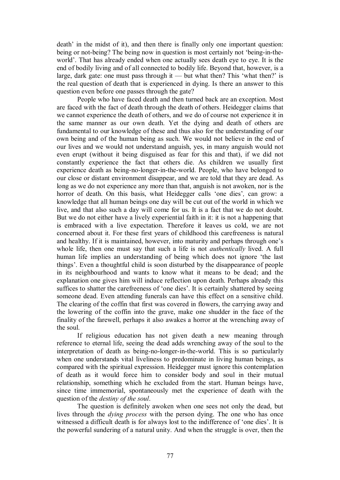death' in the midst of it), and then there is finally only one important question: being or not-being? The being now in question is most certainly not 'being-in-theworld'. That has already ended when one actually sees death eye to eye. It is the end of bodily living and of all connected to bodily life. Beyond that, however, is a large, dark gate: one must pass through it — but what then? This 'what then?' is the real question of death that is experienced in dying. Is there an answer to this question even before one passes through the gate?

People who have faced death and then turned back are an exception. Most are faced with the fact of death through the death of others. Heidegger claims that we cannot experience the death of others, and we do of course not experience it in the same manner as our own death. Yet the dying and death of others are fundamental to our knowledge of these and thus also for the understanding of our own being and of the human being as such. We would not believe in the end of our lives and we would not understand anguish, yes, in many anguish would not even erupt (without it being disguised as fear for this and that), if we did not constantly experience the fact that others die. As children we usually first experience death as being-no-longer-in-the-world. People, who have belonged to our close or distant environment disappear, and we are told that they are dead. As long as we do not experience any more than that, anguish is not awoken, nor is the horror of death. On this basis, what Heidegger calls 'one dies'*,* can grow: a knowledge that all human beings one day will be cut out of the world in which we live, and that also such a day will come for us. It is a fact that we do not doubt. But we do not either have a lively experiential faith in it: it is not a happening that is embraced with a live expectation. Therefore it leaves us cold, we are not concerned about it. For these first years of childhood this carefreeness is natural and healthy. If it is maintained, however, into maturity and perhaps through one's whole life, then one must say that such a life is not *authentically* lived. A full human life implies an understanding of being which does not ignore 'the last things'. Even a thoughtful child is soon disturbed by the disappearance of people in its neighbourhood and wants to know what it means to be dead; and the explanation one gives him will induce reflection upon death. Perhaps already this suffices to shatter the carefreeness of 'one dies'. It is certainly shattered by seeing someone dead. Even attending funerals can have this effect on a sensitive child. The clearing of the coffin that first was covered in flowers, the carrying away and the lowering of the coffin into the grave, make one shudder in the face of the finality of the farewell, perhaps it also awakes a horror at the wrenching away of the soul.

If religious education has not given death a new meaning through reference to eternal life, seeing the dead adds wrenching away of the soul to the interpretation of death as being-no-longer-in-the-world. This is so particularly when one understands vital liveliness to predominate in living human beings, as compared with the spiritual expression. Heidegger must ignore this contemplation of death as it would force him to consider body and soul in their mutual relationship, something which he excluded from the start. Human beings have, since time immemorial, spontaneously met the experience of death with the question of the *destiny of the soul*.

The question is definitely awoken when one sees not only the dead, but lives through the *dying process* with the person dying. The one who has once witnessed a difficult death is for always lost to the indifference of 'one dies'. It is the powerful sundering of a natural unity. And when the struggle is over, then the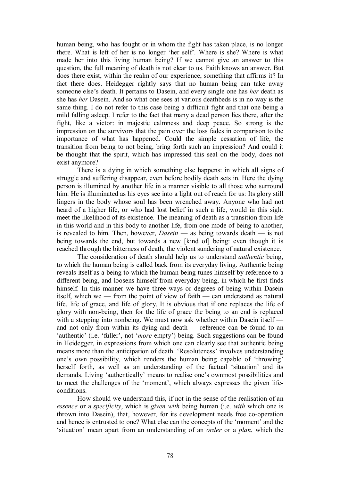human being, who has fought or in whom the fight has taken place, is no longer there. What is left of her is no longer 'her self'. Where is she? Where is what made her into this living human being? If we cannot give an answer to this question, the full meaning of death is not clear to us. Faith knows an answer. But does there exist, within the realm of our experience, something that affirms it? In fact there does. Heidegger rightly says that no human being can take away someone else's death. It pertains to Dasein, and every single one has *her* death as she has *her* Dasein. And so what one sees at various deathbeds is in no way is the same thing. I do not refer to this case being a difficult fight and that one being a mild falling asleep. I refer to the fact that many a dead person lies there, after the fight, like a victor: in majestic calmness and deep peace. So strong is the impression on the survivors that the pain over the loss fades in comparison to the importance of what has happened. Could the simple cessation of life, the transition from being to not being, bring forth such an impression? And could it be thought that the spirit, which has impressed this seal on the body, does not exist anymore?

There is a dying in which something else happens: in which all signs of struggle and suffering disappear, even before bodily death sets in. Here the dying person is illumined by another life in a manner visible to all those who surround him. He is illuminated as his eyes see into a light out of reach for us: Its glory still lingers in the body whose soul has been wrenched away. Anyone who had not heard of a higher life, or who had lost belief in such a life, would in this sight meet the likelihood of its existence. The meaning of death as a transition from life in this world and in this body to another life, from one mode of being to another, is revealed to him. Then, however, *Dasein* — as being towards death — is not being towards the end, but towards a new [kind of] being: even though it is reached through the bitterness of death, the violent sundering of natural existence.

The consideration of death should help us to understand *authentic* being, to which the human being is called back from its everyday living. Authentic being reveals itself as a being to which the human being tunes himself by reference to a different being, and loosens himself from everyday being, in which he first finds himself. In this manner we have three ways or degrees of being within Dasein itself, which we — from the point of view of faith — can understand as natural life, life of grace, and life of glory. It is obvious that if one replaces the life of glory with non-being, then for the life of grace the being to an end is replaced with a stepping into nonbeing. We must now ask whether within Dasein itself and not only from within its dying and death — reference can be found to an 'authentic' (i.e. 'fuller', not '*more* empty') being. Such suggestions can be found in Heidegger, in expressions from which one can clearly see that authentic being means more than the anticipation of death. 'Resoluteness' involves understanding one's own possibility, which renders the human being capable of 'throwing' herself forth, as well as an understanding of the factual 'situation' and its demands. Living 'authentically' means to realise one's ownmost possibilities and to meet the challenges of the 'moment', which always expresses the given life conditions.

How should we understand this, if not in the sense of the realisation of an *essence* or a *specificity*, which is *given with* being human (i.e. *with* which one is thrown into Dasein), that, however, for its development needs free co-operation and hence is entrusted to one? What else can the concepts of the 'moment' and the 'situation' mean apart from an understanding of an *order* or a *plan*, which the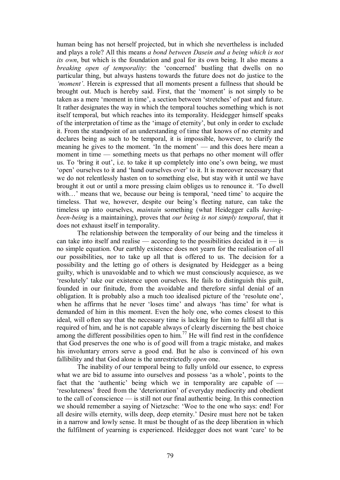human being has not herself projected, but in which she nevertheless is included and plays a role? All this means *a bond between Dasein and a being which is not its own*, but which is the foundation and goal for its own being. It also means a *breaking open of temporality*: the 'concerned' bustling that dwells on no particular thing, but always hastens towards the future does not do justice to the *'moment'*. Herein is expressed that all moments present a fullness that should be brought out. Much is hereby said. First, that the 'moment' is not simply to be taken as a mere 'moment in time', a section between 'stretches' of past and future. It rather designates the way in which the temporal touches something which is not itself temporal, but which reaches into its temporality. Heidegger himself speaks of the interpretation of time as the 'image of eternity', but only in order to exclude it. From the standpoint of an understanding of time that knows of no eternity and declares being as such to be temporal, it is impossible, however, to clarify the meaning he gives to the moment. 'In the moment' — and this does here mean a moment in time — something meets us that perhaps no other moment will offer us. To 'bring it out', i.e. to take it up completely into one's own being, we must 'open' ourselves to it and 'hand ourselves over' to it. It is moreover necessary that we do not relentlessly hasten on to something else, but stay with it until we have brought it out or until a more pressing claim obliges us to renounce it. 'To dwell with...' means that we, because our being is temporal, 'need time' to acquire the timeless. That we, however, despite our being's fleeting nature, can take the timeless up into ourselves, *maintain* something (what Heidegger calls *having been-being* is a maintaining), proves that *our being is not simply temporal*, that it does not exhaust itself in temporality.

The relationship between the temporality of our being and the timeless it can take into itself and realise — according to the possibilities decided in it — is no simple equation. Our earthly existence does not yearn for the realisation of all our possibilities, nor to take up all that is offered to us. The decision for a possibility and the letting go of others is designated by Heidegger as a being guilty, which is unavoidable and to which we must consciously acquiesce, as we 'resolutely' take our existence upon ourselves. He fails to distinguish this guilt, founded in our finitude, from the avoidable and therefore sinful denial of an obligation. It is probably also a much too idealised picture of the 'resolute one', when he affirms that he never 'loses time' and always 'has time' for what is demanded of him in this moment. Even the holy one, who comes closest to this ideal, will often say that the necessary time is lacking for him to fulfil all that is required of him, and he is not capable always of clearly discerning the best choice among the different possibilities open to him.<sup>77</sup> He will find rest in the confidence that God preserves the one who is of good will from a tragic mistake, and makes his involuntary errors serve a good end. But he also is convinced of his own fallibility and that God alone is the unrestrictedly *open* one.

The inability of our temporal being to fully unfold our essence, to express what we are bid to assume into ourselves and possess 'as a whole', points to the fact that the 'authentic' being which we in temporality are capable of — 'resoluteness' freed from the 'deterioration' of everyday mediocrity and obedient to the call of conscience — is still not our final authentic being. In this connection we should remember a saying of Nietzsche: 'Woe to the one who says: end! For all desire wills eternity, wills deep, deep eternity.' Desire must here not be taken in a narrow and lowly sense. It must be thought of as the deep liberation in which the fulfilment of yearning is experienced. Heidegger does not want 'care' to be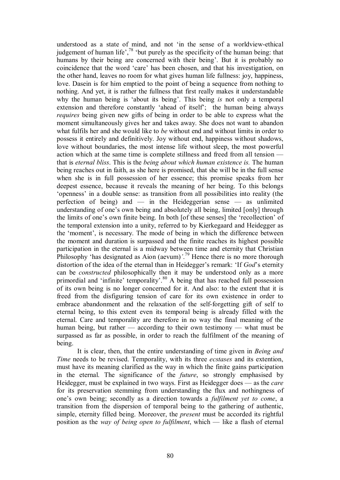understood as a state of mind, and not 'in the sense of a worldview-ethical judgement of human life', $7^8$  'but purely as the specificity of the human being: that humans by their being are concerned with their being'. But it is probably no coincidence that the word 'care' has been chosen, and that his investigation, on the other hand, leaves no room forwhat gives human life fullness: joy, happiness, love. Dasein is for him emptied to the point of being a sequence from nothing to nothing. And yet, it is rather the fullness that first really makes it understandable why the human being is 'about its being'. This being *is* not only a temporal extension and therefore constantly 'ahead of itself'; the human being always *requires* being given new gifts of being in order to be able to express what the moment simultaneously gives her and takes away. She does not want to abandon what fulfils her and she would like to *be* without end and without limits in order to possess it entirely and definitively. Joy without end, happiness without shadows, love without boundaries, the most intense life without sleep, the most powerful action which at the same time is complete stillness and freed from all tension that is *eternal bliss*. This is the *being about which human existence is.* The human being reaches out in faith, as she here is promised, that she will be in the full sense when she is in full possession of her essence; this promise speaks from her deepest essence, because it reveals the meaning of her being. To this belongs 'openness' in a double sense: as transition from all possibilities into reality (the perfection of being) and  $-$  in the Heideggerian sense  $-$  as unlimited understanding of one's own being and absolutely all being, limited [only] through the limits of one's own finite being. In both [of these senses] the 'recollection' of the temporal extension into a unity, referred to by Kierkegaard and Heidegger as the 'moment', is necessary. The mode of being in which the difference between the moment and duration is surpassed and the finite reaches its highest possible participation in the eternal is a midway between time and eternity that Christian Philosophy 'has designated as Aion (aevum)*'*.<sup>79</sup> Hence there is no more thorough distortion of the idea of the eternal than in Heidegger's remark: 'If *God*'s eternity can be *constructed* philosophically then it may be understood only as a more primordial and 'infinite' temporality'.<sup>80</sup> A being that has reached full possession of its own being is no longer concerned for it. And also: to the extent that it is freed from the disfiguring tension of care for its own existence in order to embrace abandonment and the relaxation of the self-forgetting gift of self to eternal being, to this extent even its temporal being is already filled with the eternal. Care and temporality are therefore in no way the final meaning of the human being, but rather  $\frac{1}{2}$  according to their own testimony  $\frac{1}{2}$  what must be surpassed as far as possible, in order to reach the fulfilment of the meaning of being.

It is clear, then, that the entire understanding of time given in *Being and Time* needs to be revised. Temporality, with its three *ecstases* and its extention, must have its meaning clarified as the way in which the finite gains participation in the eternal. The significance of the *future*, so strongly emphasised by Heidegger, must be explained in two ways. First as Heidegger does — as the *care* for its preservation stemming from understanding the flux and nothingness of one's own being; secondly as a direction towards a *fulfilment yet to come*, a transition from the dispersion of temporal being to the gathering of authentic, simple, eternity filled being. Moreover, the *present* must be accorded its rightful position as the *way of being open to fulfilment*, which — like a flash of eternal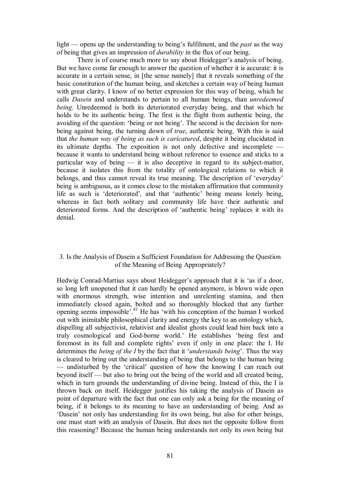light — opens up the understanding to being's fulfilment, and the *past* as the way of being that gives an impression of *durability* in the flux of our being.

There is of course much more to say about Heidegger's analysis of being. But we have come far enough to answer the question of whether it is accurate: it is accurate in a certain sense, in [the sense namely] that it reveals something of the basic constitution of the human being, and sketches a certain way of being human with great clarity. I know of no better expression for this way of being, which he calls *Dasein* and understands to pertain to all human beings, than *unredeemed being*. Unredeemed is both its deteriorated everyday being, and that which he holds to be its authentic being. The first is the flight from authentic being, the avoiding of the question: 'being or not being'. The second is the decision for non being against being, the turning down of *true*, authentic being. With this is said that *the human way of being as such is caricatured*, despite it being elucidated in its ultimate depths. The exposition is not only defective and incomplete because it wants to understand being without reference to essence and sticks to a particular way of being  $-$  it is also deceptive in regard to its subject-matter, because it isolates this from the totality of ontological relations to which it belongs, and thus cannot reveal its true meaning. The description of 'everyday' being is ambiguous, as it comes close to the mistaken affirmation that community life as such is 'deteriorated'*,* and that 'authentic' being means lonely being, whereas in fact both solitary and community life have their authentic and deteriorated forms. And the description of 'authentic being' replaces it with its denial.

# 3. Is the Analysis of Dasein a Sufficient Foundation for Addressing the Question of the Meaning of Being Appropriately?

Hedwig Conrad-Martius says about Heidegger's approach that it is 'as if a door, so long left unopened that it can hardly be opened anymore, is blown wide open with enormous strength, wise intention and unrelenting stamina, and then immediately closed again, bolted and so thoroughly blocked that any further opening seems impossible<sup>'.81</sup> He has 'with his conception of the human I worked out with inimitable philosophical clarity and energy the key to an ontology which, dispelling all subjectivist, relativist and idealist ghosts could lead him back into a truly cosmological and God-borne world.' He establishes 'being first and foremost in its full and complete rights' even if only in one place: the I. He determines the *being of the I* by the fact that it '*understands being*'. Thus the way is cleared to bring out the understanding of being that belongs to the human being — undisturbed by the 'critical' question of how the knowing I can reach out beyond itself — but also to bring out the being of the world and all created being, which in turn grounds the understanding of divine being. Instead of this, the I is thrown back on itself. Heidegger justifies his taking the analysis of Dasein as point of departure with the fact that one can only ask a being for the meaning of being, if it belongs to its meaning to have an understanding of being. And as 'Dasein' not only has understanding for its own being, but also for other beings, one must start with an analysis of Dasein. But does not the opposite follow from this reasoning? Because the human being understands not only its own being but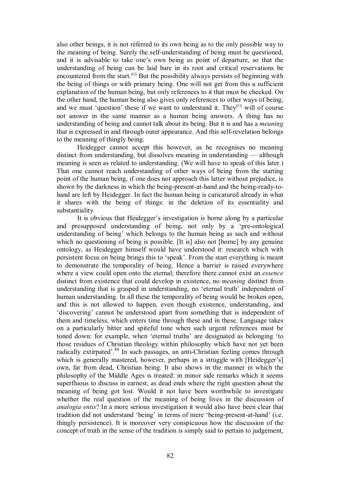also other beings, it is not referred to its own being as to the only possible way to the meaning of being. Surely the self-understanding of being must be questioned, and it is advisable to take one's own being as point of departure, so that the understanding of being can be laid bare in its root and critical reservations be encountered from the start.<sup>[82]</sup> But the possibility always persists of beginning with the being of things or with primary being. One will not get from this a sufficient explanation of the human being, but only references to it that must be checked. On the other hand, the human being also gives only references to other ways of being, and we must 'question' these if we want to understand it. They<sup>[83]</sup> will of course not answer in the same manner as a human being answers. A thing has no understanding of being and cannot talk about its being. But it is and has a *meaning* that is expressed in and through outer appearance. And this selfrevelation belongs to the meaning of thingly being.

Heidegger cannot accept this however, as he recognises no meaning distinct from understanding, but dissolves meaning in understanding — although meaning is seen as related to understanding. (We will have to speak of this later.) That one cannot reach understanding of other ways of being from the starting point of the human being, if one does not approach this latter without prejudice, is shown by the darkness in which the being-present-at-hand and the being-ready-tohand are left by Heidegger. In fact the human being is caricatured already in what it shares with the being of things: in the deletion of its essentiality and substantiality.

It is obvious that Heidegger's investigation is borne along by a particular and presupposed understanding of being, not only by a 'pre-ontological understanding of being' which belongs to the human being as such and without which no questioning of being is possible. [It is] also not [borne] by any genuine ontology, as Heidegger himself would have understood it: research which with persistent focus on being brings this to 'speak'. From the start everything is meant to demonstrate the temporality of being. Hence a barrier is raised everywhere where a view could open onto the eternal; therefore there cannot exist an *essence* distinct from existence that could develop in existence, no *meaning* distinct from understanding that is grasped in understanding, no 'eternal truth' independent of human understanding. In all these the temporality of being would be broken open, and this is not allowed to happen, even though existence, understanding, and 'discovering' cannot be understood apart from something that is independent of them and timeless, which enters time through these and in these. Language takes on a particularly bitter and spiteful tone when such urgent references must be toned down: for example, when 'eternal truths' are designated as belonging 'to those residues of Christian theology within philosophy which have not yet been radically extirpated'. $84$  In such passages, an anti-Christian feeling comes through which is generally mastered, however, perhaps in a struggle with [Heidegger's] own, far from dead, Christian being. It also shows in the manner in which the philosophy of the Middle Ages is treated: in minor side remarks which it seems superfluous to discuss in earnest, as dead ends where the right question about the meaning of being got lost. Would it not have been worthwhile to investigate whether the real question of the meaning of being lives in the discussion of *analogia entis*? In a more serious investigation it would also have been clear that tradition did not understand 'being' in terms of mere 'being-present-at-hand' (i.e. thingly persistence). It is moreover very conspicuous how the discussion of the concept of truth in the sense of the tradition is simply said to pertain to judgement,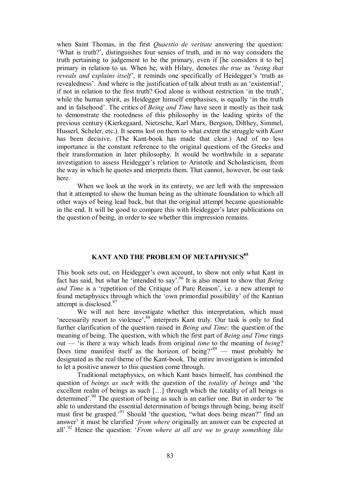when Saint Thomas, in the first *Quaestio de veritate* answering the question: 'What is truth?', distinguishes four senses of truth, and in no way considers the truth pertaining to judgement to be the primary, even if [he considers it to be] primary in relation to us. When he, with Hilary, denotes *the true* as '*being that reveals and explains itself'*, it reminds one specifically of Heidegger's 'truth as revealedness'. And where is the justification of talk about truth as an 'existential', if not in relation to the first truth? God alone is without restriction 'in the truth', while the human spirit, as Heidegger himself emphasises, is equally 'in the truth and in falsehood'. The critics of *Being and Time* have seen it mostly as their task to demonstrate the rootedness of this philosophy in the leading spirits of the previous century (Kierkegaard, Nietzsche, Karl Marx, Bergson, Dilthey, Simmel, Husserl, Scheler, etc.). It seems lost on them to what extent the struggle with *Kant* has been decisive. (The Kant-book has made that clear.) And of no less importance is the constant reference to the original questions of the Greeks and their transformation in later philosophy. It would be worthwhile in a separate investigation to assess Heidegger's relation to Aristotle and Scholasticism, from the way in which he quotes and interprets them. That cannot, however, be our task here.

When we look at the work in its entirety, we are left with the impression that it attempted to show the human being as the ultimate foundation to which all other ways of being lead back, but that the original attempt became questionable in the end. It will be good to compare this with Heidegger's later publications on the question of being, in order to see whether this impression remains.

# **KANT AND THE PROBLEM OF METAPHYSICS <sup>85</sup>**

This book sets out, on Heidegger's own account, to show not only what Kant in fact has said, but what he 'intended to say'.<sup>86</sup> It is also meant to show that *Being and Time* is a 'repetition of the Critique of Pure Reason', i.e. a new attempt to found metaphysics through which the 'own primordial possibility' of the Kantian attempt is disclosed. <sup>87</sup>

We will not here investigate whether this interpretation, which must 'necessarily resort to violence', <sup>88</sup> interprets Kant truly. Our task is only to find further clarification of the question raised in *Being and Time*: the question of the meaning of being. The question, with which the first part of *Being and Time* rings out — 'is there a way which leads from original *time* to the meaning of *being*? Does time manifest itself as the horizon of being? $89$  — must probably be designated as the real theme of the Kant-book. The entire investigation is intended to let a positive answer to this question come through.

Traditional metaphysics, on which Kant bases himself, has combined the question of *beings as such* with the question of the *totality of beings* and 'the excellent realm of beings as such […] through which the totality of all beings is determined'.<sup>90</sup> The question of being as such is an earlier one. But in order to 'be able to understand the essential determination of beings through being, being itself must first be grasped.<sup>'91</sup> Should 'the question, "what does being mean?" find an answer' it must be clarified '*from where* originally an answer can be expected at all'.<sup>92</sup> Hence the question: '*From where at all are we to grasp something like*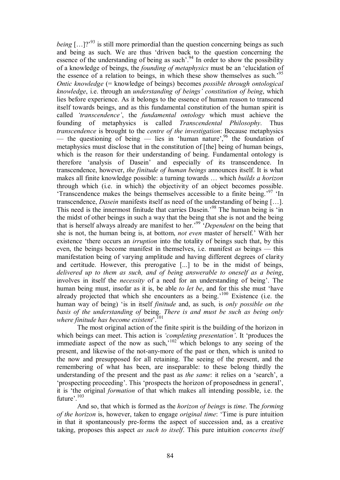*being* [...]?<sup>,93</sup> is still more primordial than the question concerning beings as such and being as such. We are thus 'driven back to the question concerning the essence of the understanding of being as such<sup>'</sup>.<sup>94</sup> In order to show the possibility of a knowledge of beings, the *founding of metaphysics* must be an 'elucidation of the essence of a relation to beings, in which these show themselves as such.<sup>95</sup> *Ontic knowledge* (= knowledge of beings) becomes *possible through ontological knowledge*, i.e. through an *understanding of beings' constitution of being*, which lies before experience. As it belongs to the essence of human reason to transcend itself towards beings, and as this fundamental constitution of the human spirit is called *'transcendence'*, the *fundamental ontology* which must achieve the founding of metaphysics is called *Transcendental Philosophy*. Thus *transcendence* is brought to the *centre of the investigation*: Because metaphysics — the questioning of being — lies in 'human nature',  $96$  the foundation of metaphysics must disclose that in the constitution of [the] being of human beings, which is the reason for their understanding of being. Fundamental ontology is therefore 'analysis of Dasein' and especially of its transcendence. In transcendence, however, *the finitude of human beings* announces itself. It is what makes all finite knowledge possible: a turning towards … which *builds a horizon* through which (i.e. in which) the objectivity of an object becomes possible. 'Transcendence makes the beings themselves accessible to a finite being.' <sup>97</sup> 'In transcendence, *Dasein* manifests itself as need of the understanding of being […]. This need is the innermost finitude that carries Dasein.<sup>98</sup> The human being is 'in the midst of other beings in such a way that the being that she is not and the being that is herself always already are manifest to her.' <sup>99</sup> '*Dependent* on the being that she is not, the human being is, at bottom, *not even* master of herself.' With her existence 'there occurs an *irruption* into the totality of beings such that, by this even, the beings become manifest in themselves, i.e. manifest *as* beings — this manifestation being of varying amplitude and having different degrees of clarity and certitude. However, this prerogative [...] to be in the midst of beings, *delivered up to them as such, and of being answerable to oneself as a being*, involves in itself the *necessity* of a need for an understanding of being'. The human being must, insofar as it is, be able *to let be*, and for this she must 'have already projected that which she encounters as a being.<sup>'100</sup> Existence (i.e. the human way of being) 'is in itself *finitude* and, as such, is *only possible on the basis of the understanding of* being. *There is and must be such as being only where finitude has become existent*'.<sup>101</sup>

The most original action of the finite spirit is the building of the horizon in which beings can meet. This action is *'completing presentation'*. It 'produces the immediate aspect of the now as such,<sup>'102</sup> which belongs to any seeing of the present, and likewise of the not-any-more of the past or then, which is united to the now and presupposed for all retaining. The seeing of the present, and the remembering of what has been, are inseparable: to these belong thirdly the understanding of the present and the past as *the same*: it relies on a 'search', a 'prospecting proceeding'. This 'prospects the horizon of proposedness in general', it is 'the original *formation* of that which makes all intending possible, i.e. the future'.<sup>103</sup>

And so, that which is formed as the *horizon of beings* is *time*. The *forming of the horizon* is, however, taken to engage *original time*: 'Time is pure intuition in that it spontaneously pre-forms the aspect of succession and, as a creative taking, proposes this aspect *as such to itself*. This pure intuition *concerns itself*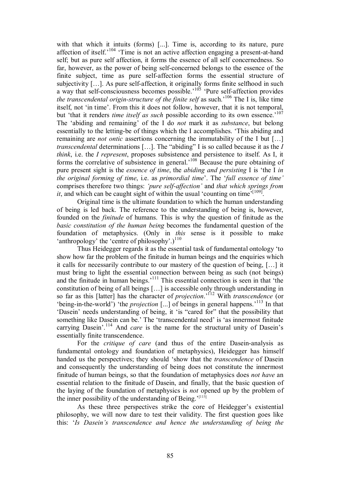with that which it intuits (forms) [...]. Time is, according to its nature, pure affection of itself.<sup> $104$ </sup> Time is not an active affection engaging a present-at-hand self; but as pure self affection, it forms the essence of all self concernedness. So far, however, as the power of being self-concerned belongs to the essence of the finite subject, time as pure self-affection forms the essential structure of subjectivity  $[...]$ . As pure self-affection, it originally forms finite selfhood in such a way that self-consciousness becomes possible.<sup>'105</sup> 'Pure self-affection provides *the transcendental origin-structure of the finite self* as such.<sup>'106</sup> The I is, like time itself, not 'in time'. From this it does not follow, however, that it is not temporal, but 'that it renders *time itself as such* possible according to its own essence.<sup>'107</sup> The 'abiding and remaining' of the I do *not* mark it as *substance*, but belong essentially to the letting-be of things which the I accomplishes. 'This abiding and remaining are *not ontic* assertions concerning the immutability of the I but […] *transcendental* determinations […]. The "abiding" I is so called because it as the *I think*, i.e. the *I represent*, proposes subsistence and persistence to itself. As I, it forms the correlative of subsistence in general.' <sup>108</sup> Because the pure obtaining of pure present sight is the *essence of time*, the *abiding and persisting* I is 'the I *in the original forming of time*, i.e. as *primordial time*'. The '*full essence of time'* comprises therefore two things: 'pure self-affection' and that which springs from *it*, and which can be caught sight of within the usual 'counting on time'<sup>[109]</sup>.

Original time is the ultimate foundation to which the human understanding of being is led back. The reference to the understanding of being is, however, founded on the *finitude* of humans. This is why the question of finitude as the *basic constitution of the human being* becomes the fundamental question of the foundation of metaphysics. (Only in *this* sense is it possible to make 'anthropology' the 'centre of philosophy'.)<sup>110</sup>

Thus Heidegger regards it as the essential task of fundamental ontology 'to show how far the problem of the finitude in human beings and the enquiries which it calls for necessarily contribute to our mastery of the question of being, […] it must bring to light the essential connection between being as such (not beings) and the finitude in human beings.' <sup>111</sup> This essential connection is seen in that 'the constitution of being of all beings […] is accessible only through understanding in so far as this [latter] has the character of *projection*.' <sup>112</sup> With *transcendence* (or 'being-in-the-world') 'the *projection* [...] of beings in general happens.<sup>'113</sup> In that 'Dasein' needs understanding of being, it 'is "cared for" that the possibility that something like Dasein can be.' The 'transcendental need' is 'as innermost finitude carrying Dasein'.<sup>114</sup> And *care* is the name for the structural unity of Dasein's essentially finite transcendence.

For the *critique of care* (and thus of the entire Dasein-analysis as fundamental ontology and foundation of metaphysics), Heidegger has himself handed us the perspectives; they should 'show that the *transcendence* of Dasein and consequently the understanding of being does not constitute the innermost finitude of human beings, so that the foundation of metaphysics does *not have* an essential relation to the finitude of Dasein, and finally, that the basic question of the laying of the foundation of metaphysics is *not* opened up by the problem of the inner possibility of the understanding of Being.'<sup>[115]</sup>

As these three perspectives strike the core of Heidegger's existential philosophy, we will now dare to test their validity. The first question goes like this: '*Is Dasein's transcendence and hence the understanding of being the*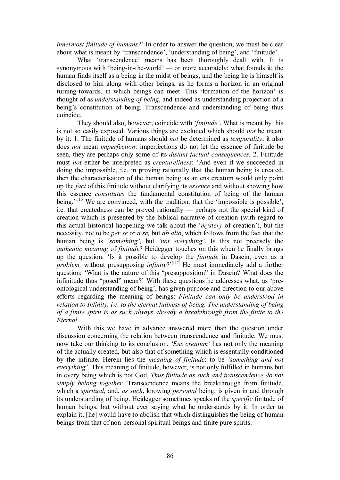*innermost finitude of humans?*' In order to answer the question, we must be clear about what is meant by 'transcendence', 'understanding of being', and 'finitude'.

What 'transcendence' means has been thoroughly dealt with. It is synonymous with 'being-in-the-world' — or more accurately: what founds it; the human finds itself as a being in the midst of beings, and the being he is himself is disclosed to him along with other beings, as he forms a horizon in an original turning-towards, in which beings can meet. This 'formation of the horizon' is thought of as *understanding of being*, and indeed as understanding projection of a being's constitution of being. Transcendence and understanding of being thus coincide.

They should also, however, coincide with *'finitude'*. What is meant by this is not so easily exposed. Various things are excluded which should *not* be meant by it: 1. The finitude of humans should *not* be determined as *temporality*; it also does *not* mean *imperfection*: imperfections do not let the essence of finitude be seen, they are perhaps only some of its *distant factual consequences*. 2. Finitude must *not* either be interpreted as *creatureliness*: 'And even if we succeeded in doing the impossible, i.e. in proving rationally that the human being is created, then the characterisation of the human being as an ens creatum would only point up the *fact* of this finitude without clarifying its *essence* and without showing how this essence *constitutes* the fundamental constitution of being of the human being.<sup>'116</sup> We are convinced, with the tradition, that the 'impossible is possible', i.e. that createdness can be proved rationally — perhaps not the special kind of creation which is presented by the biblical narrative of creation (with regard to this actual historical happening we talk about the '*mystery* of creation'), but the necessity, not to be *per se* or *a se,* but *ab alio*, which follows from the fact that the human being is *'something',* but *'not everything'*. Is this not precisely the *authentic meaning* of *finitude*? Heidegger touches on this when he finally brings up the question: 'Is it possible to develop the *finitude* in Dasein, even as a *problem*, without presupposing *infinity*?'<sup>[117]</sup> He must immediately add a further question: 'What is the nature of this "presupposition" in Dasein? What does the infinitude thus "posed" mean?' With these questions he addresses what, as 'pre ontological understanding of being', has given purpose and direction to our above efforts regarding the meaning of beings: *Finitude can only be understood in relation to Infinity, i.e. to the eternal fullness of being. The understanding of being of a finite spirit is as such always already a breakthrough from the finite to the Eternal*.<br>With this we have in advance answered more than the question under

discussion concerning the relation between transcendence and finitude. We must now take our thinking to its conclusion. *'Ens creatum'* has not only the meaning of the actually created, but also that of something which is essentially conditioned by the infinite. Herein lies the *meaning of finitude*: to be *'something and not everything'*. This meaning of finitude, however, is not only fulfilled in humans but in every being which is not God. *Thus finitude as such and transcendence do not simply belong together*. Transcendence means the breakthrough from finitude, which a *spiritual,* and, *as such*, knowing *personal* being, is given in and through its understanding of being. Heidegger sometimes speaks of the *specific* finitude of human beings, but without ever saying what he understands by it. In order to explain it, [he] would have to abolish that which distinguishes the being of human beings from that of non-personal spiritual beings and finite pure spirits.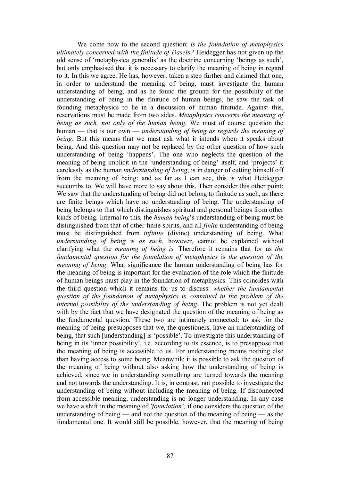We come now to the second question: *is the foundation of metaphysics ultimately concerned with the finitude of Dasein?* Heidegger has not given up the old sense of 'metaphysica generalis' as the doctrine concerning 'beings as such', but only emphasised that it is necessary to clarify the meaning of being in regard to it. In this we agree. He has, however, taken a step further and claimed that one, in order to understand the meaning of being, must investigate the human understanding of being, and as he found the ground for the possibility of the understanding of being in the finitude of human beings, he saw the task of founding metaphysics to lie in a discussion of human finitude. Against this, reservations must be made from two sides. *Metaphysics concerns the meaning of being as such, not only of the human being.* We must of course question the human — that is our own — *understanding of being as regards the meaning of being*. But this means that we must ask what it intends when it speaks about being. And this question may not be replaced by the other question of how such understanding of being 'happens'. The one who neglects the question of the meaning of being implicit in the 'understanding of being' itself, and 'projects' it carelessly as the human *understanding of being*, is in danger of cutting himself off from the meaning of being: and as far as I can see, this is what Heidegger succumbs to. We will have more to say about this. Then consider this other point: We saw that the understanding of being did not belong to finitude as such, as there are finite beings which have no understanding of being. The understanding of being belongs to that which distinguishes spiritual and personal beings from other kinds of being. Internal to this, the *human being*'s understanding of being must be distinguished from that of other finite spirits, and all *finite* understanding of being must be distinguished from *infinite* (divine) understanding of being. What *understanding of being* is *as such*, however, cannot be explained without clarifying what the *meaning of being is.* Therefore it remains that for us *the fundamental question for the foundation of metaphysics* is *the question of the meaning of being*. What significance the human understanding of being has for the meaning of being is important for the evaluation of the role which the finitude of human beings must play in the foundation of metaphysics. This coincides with the third question which it remains for us to discuss: *whether the fundamental question of the foundation of metaphysics is contained in the problem of the internal possibility of the understanding of being*. The problem is not yet dealt with by the fact that we have designated the question of the meaning of being as the fundamental question. These two are intimately connected: to ask for the meaning of being presupposes that we, the questioners, have an understanding of being, that such [understanding] is 'possible'. To investigate this understanding of being in its 'inner possibility', i.e. according to its essence, is to presuppose that the meaning of being is accessible to us. For understanding means nothing else than having access to some being. Meanwhile it is possible to ask the question of the meaning of being without also asking how the understanding of being is achieved, since we in understanding something are turned towards the meaning and not towards the understanding. It is, in contrast, not possible to investigate the understanding of being without including the meaning of being. If disconnected from accessible meaning, understanding is no longer understanding. In any case we have a shift in the meaning of *'foundation',* if one considers the question of the understanding of being — and not the question of the meaning of being — as the fundamental one. It would still be possible, however, that the meaning of being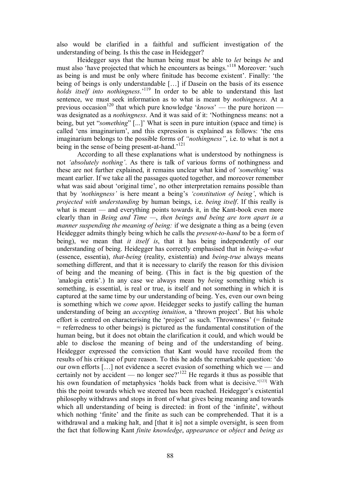also would be clarified in a faithful and sufficient investigation of the understanding of being. Is this the case in Heidegger?

Heidegger says that the human being must be able to *let* beings *be* and must also 'have projected that which he encounters as beings.<sup>'118</sup> Moreover: 'such as being is and must be only where finitude has become existent'. Finally: 'the being of beings is only understandable [...] if Dasein on the basis of its essence *holds itself into nothingness*.' <sup>119</sup> In order to be able to understand this last sentence, we must seek information as to what is meant by *nothingness*. At a previous occasion<sup>120</sup> that which pure knowledge '*knows*' — the pure horizon was designated as a *nothingness*. And it was said of it: 'Nothingness means: not a being, but yet "*something*" [...]' What is seen in pure intuition (space and time) is called 'ens imaginarium', and this expression is explained as follows: 'the ens imaginarium belongs to the possible forms of *"nothingness"*, i.e. to what is not a being in the sense of being present-at-hand.<sup>'121</sup>

According to all these explanations what is understood by nothingness is not *'absolutely nothing'*. As there is talk of various forms of nothingness and these are not further explained, it remains unclear what kind of *'something'* was meant earlier. If we take all the passages quoted together, and moreover remember what was said about 'original time', no other interpretation remains possible than that by *'nothingness'* is here meant a being's *'constitution of being'*, which is *projected with understanding* by human beings, i.e. *being itself*. If this really is what is meant — and everything points towards it, in the Kant-book even more clearly than in *Being and Time —*, *then beings and being are torn apart in a manner suspending the meaning of being:* if we designate a thing as a being (even Heidegger admits thingly being which he calls the *present-to-hand* to be a form of being), we mean that *it itself is*, that it has being independently of our understanding of being. Heidegger has correctly emphasised that in *being-a-what* (essence, essentia), *that-being* (reality, existentia) and *being-true* always means something different, and that it is necessary to clarify the reason for this division of being and the meaning of being. (This in fact is the big question of the *'*analogia entis'*.*) In any case we always mean by *being* something which is something, is essential, is real or true, is itself and not something in which it is captured at the same time by our understanding of being. Yes, even our own being is something which we *come upon*. Heidegger seeks to justify calling the human understanding of being an *accepting intuition*, a 'thrown project'. But his whole effort is centred on characterising the 'project' as such. 'Thrownness' (= finitude = referredness to other beings) is pictured as the fundamental constitution of the human being, but it does not obtain the clarification it could, and which would be able to disclose the meaning of being and of the understanding of being. Heidegger expressed the conviction that Kant would have recoiled from the results of his critique of pure reason. To this he adds the remarkable question: 'do our own efforts […] not evidence a secret evasion of something which we — and certainly not by accident — no longer see? $i^{122}$  He regards it thus as possible that his own foundation of metaphysics 'holds back from what is decisive.'<sup>[123]</sup> With this the point towards which we steered has been reached. Heidegger's existential philosophy withdraws and stops in front of what gives being meaning and towards which all understanding of being is directed: in front of the 'infinite', without which nothing 'finite' and the finite as such can be comprehended. That it is a withdrawal and a making halt, and [that it is] not a simple oversight, is seen from the fact that following Kant *finite knowledge*, *appearance* or *object* and *being as*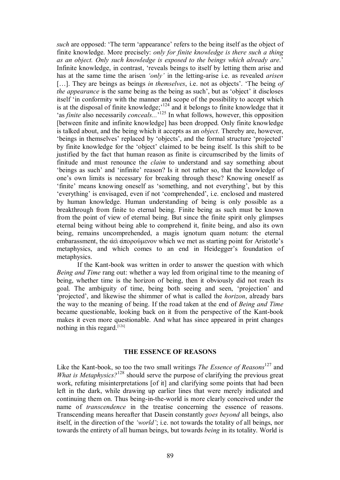*such* are opposed: 'The term 'appearance' refers to the being itself as the object of finite knowledge. More precisely: *only for finite knowledge is there such a thing as an object. Only such knowledge is exposed to the beings which already are*.' Infinite knowledge, in contrast, 'reveals beings to itself by letting them arise and has at the same time the arisen *'only'* in the letting-arise *i.e.* as revealed *arisen* [...]. They are beings as beings *in themselves*, i.e. not as objects'. 'The being *of the appearance* is the same being as the being as such', but as 'object' it discloses itself 'in conformity with the manner and scope of the possibility to accept which is at the disposal of finite knowledge;<sup> $124$ </sup> and it belongs to finite knowledge that it 'as *finite* also necessarily *conceals...*' <sup>125</sup> In what follows, however, this opposition [between finite and infinite knowledge] has been dropped. Only finite knowledge is talked about, and the being which it accepts as an *object*. Thereby are, however, 'beings in themselves' replaced by 'objects', and the formal structure 'projected' by finite knowledge for the 'object' claimed to be being itself. Is this shift to be justified by the fact that human reason as finite is circumscribed by the limits of finitude and must renounce the *claim* to understand and say something about 'beings as such' and 'infinite' reason? Is it not rather so, that the knowledge of one's own limits is necessary for breaking through these? Knowing oneself as 'finite' means knowing oneself as 'something, and not everything', but by this 'everything' is envisaged, even if not 'comprehended', i.e. enclosed and mastered by human knowledge. Human understanding of being is only possible as a breakthrough from finite to eternal being. Finite being as such must be known from the point of view of eternal being. But since the finite spirit only glimpses eternal being without being able to comprehend it, finite being, and also its own being, remains uncomprehended, a magis ignotum quam notum: the eternal embarassment, the αει απορούμενον which we met as starting point for Aristotle's metaphysics, and which comes to an end in Heidegger's foundation of metaphysics.

If the Kant-book was written in order to answer the question with which *Being and Time* rang out: whether a way led from original time to the meaning of being, whether time is the horizon of being, then it obviously did not reach its goal. The ambiguity of time, being both seeing and seen, 'projection' and 'projected', and likewise the shimmer of what is called the *horizon*, already bars the way to the meaning of being. If the road taken at the end of *Being and Time* became questionable, looking back on it from the perspective of the Kant-book makes it even more questionable. And what has since appeared in print changes nothing in this regard.  $[126]$ 

#### **THE ESSENCE OF REASONS**

Like the Kant-book, so too the two small writings *The Essence of Reasons*<sup>127</sup> and *What is Metaphysics*?<sup>128</sup> should serve the purpose of clarifying the previous great work, refuting misinterpretations [of it] and clarifying some points that had been left in the dark, while drawing up earlier lines that were merely indicated and continuing them on. Thus being-in-the-world is more clearly conceived under the name of *transcendence* in the treatise concerning the essence of reasons. Transcending means hereafter that Dasein constantly *goes beyond* all beings, also itself, in the direction of the *'world'*; i.e. not towards the totality of all beings, nor towards the entirety of all human beings, but towards *being* in its totality. World is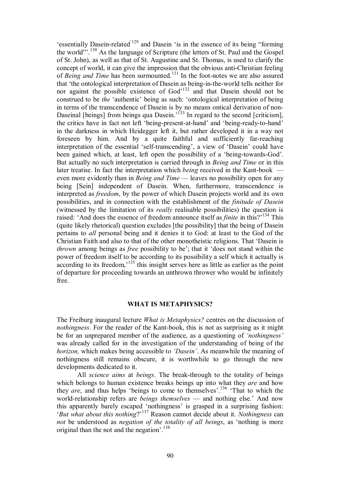'essentially Dasein-related<sup>'129</sup> and Dasein 'is in the essence of its being "forming" the world"'.<sup>130</sup> As the language of Scripture (the letters of St. Paul and the Gospel of St. John), as well as that of St. Augustine and St. Thomas, is used to clarify the concept of world, it can give the impression that the obvious anti-Christian feeling of *Being and Time* has been surmounted. <sup>131</sup> In the footnotes we are also assured that 'the ontological interpretation of Dasein as being-in-the-world tells neither for nor against the possible existence of God<sup>132</sup> and that Dasein should not be construed to be *the* 'authentic' being as such: 'ontological interpretation of being in terms of the transcendence of Dasein is by no means ontical derivation of non Daseinal [beings] from beings qua Dasein.<sup>'133</sup> In regard to the second [criticism], the critics have in fact not left 'being-present-at-hand' and 'being-ready-to-hand' in the darkness in which Heidegger left it, but rather developed it in a way not foreseen by him. And by a quite faithful and sufficiently far-reaching interpretation of the essential 'self-transcending', a view of 'Dasein' could have been gained which, at least, left open the possibility of a 'being-towards-God'. But actually no such interpretation is carried through in *Being and Time* or in this later treatise. In fact the interpretation which *being* received in the Kant-book even more evidently than in *Being and Time* — leaves no possibility open for any being [Sein] independent of Dasein. When, furthermore, transcendence is interpreted as *freedom*, by the power of which Dasein projects world and its own possibilities, and in connection with the establishment of the *finitude of Dasein* (witnessed by the limitation of its *really* realisable possibilities) the question is raised: 'And does the essence of freedom announce itself as *finite* in this?'<sup>134</sup> This (quite likely rhetorical) question excludes [the possibility] that the being of Dasein pertains to *all* personal being and it denies it to God: at least to the God of the Christian Faith and also to that of the other monotheistic religions. That 'Dasein is *thrown* among beings as *free* possibility to be'; that it 'does not stand within the power of freedom itself to be according to its possibility a self which it actually is according to its freedom,<sup>135</sup> this insight serves here as little as earlier as the point of departure for proceeding towards an unthrown thrower who would be infinitely free.

#### **WHAT IS METAPHYSICS?**

The Freiburg inaugural lecture *What is Metaphysics?* centres on the discussion of *nothingness*. For the reader of the Kant-book, this is not as surprising as it might be for an unprepared member of the audience, as a questioning of *'nothingness'* was already called for in the investigation of the understanding of being of the *horizon,* which makes being accessible to *'Dasein'*. As meanwhile the meaning of nothingness still remains obscure, it is worthwhile to go through the new developments dedicated to it.

All *science aims* at *beings*. The break-through to the totality of beings which belongs to human existence breaks beings up into what they *are* and how they *are*, and thus helps 'beings to come to themselves'.<sup>136</sup> 'That to which the world-relationship refers are *beings themselves* — and nothing else.' And now this apparently barely escaped 'nothingness' is grasped in a surprising fashion: '*But what about this nothing*?' <sup>137</sup> Reason cannot decide about it. *Nothingness* can *not* be understood as *negation of the totality of all beings*, as 'nothing is more original than the not and the negation'.<sup>138</sup>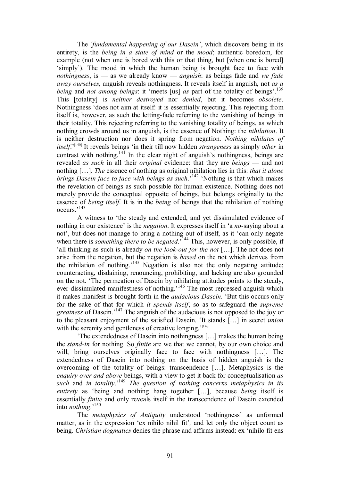The *'fundamental happening of our Dasein'*, which discovers being in its entirety, is the *being in a state of mind* or the *mood*; authentic boredom, for example (not when one is bored with this or that thing, but [when one is bored] 'simply'). The mood in which the human being is brought face to face with *nothingness*, is — as we already know — *anguish*: as beings fade and *we fade away ourselves,* anguish reveals nothingness. It reveals itself in anguish, not *as a being* and *not among beings*: it 'meets [us] *as* part of the totality of beings'.<sup>139</sup> This [totality] is *neither destroyed* nor *denied*, but it becomes *obsolete*. Nothingness 'does not aim at itself: it is essentially rejecting. This rejecting from itself is, however, as such the letting-fade referring to the vanishing of beings in their totality. This rejecting referring to the vanishing totality of beings, as which nothing crowds around us in anguish, is the essence of Nothing: the *nihilation*. It is neither destruction nor does it spring from negation. *Nothing nihilates of itself*.' [140] It reveals beings 'in their till now hidden *strangeness* as simply *other* in contrast with nothing.<sup>141</sup> In the clear night of anguish's nothingness, beings are revealed *as such* in all their *original* evidence: that they are *beings* — and not nothing […]. *The* essence of nothing as original nihilation lies in this: *that it alone brings Dasein face to face with beings as such*.' <sup>142</sup> 'Nothing is that which makes the revelation of beings as such possible for human existence. Nothing does not merely provide the conceptual opposite of beings, but belongs originally to the essence of *being itself.* It is in the *being* of beings that the nihilation of nothing occurs.' 143

A witness to 'the steady and extended, and yet dissimulated evidence of nothing in our existence' is the *negation*. It expresses itself in 'a *no*-saying about a not', but does not manage to bring a nothing out of itself, as it 'can only negate when there is *something there to be negated*.<sup>7144</sup> This, however, is only possible, if 'all thinking as such is already *on the look-out for the not* [...]. The not does not arise from the negation, but the negation is *based* on the not which derives from the nihilation of nothing.<sup>145</sup> Negation is also not the only negating attitude; counteracting, disdaining, renouncing, prohibiting, and lacking are also grounded on the not. 'The permeation of Dasein by nihilating attitudes points to the steady, ever-dissimulated manifestness of nothing.<sup>146</sup> The most repressed anguish which it makes manifest is brought forth in the *audacious Dasein*. 'But this occurs only for the sake of that for which *it spends itself*, so as to safeguard the *supreme greatness* of Dasein.' <sup>147</sup> The anguish of the audacious is not opposed to the joy or to the pleasant enjoyment of the satisfied Dasein. 'It stands […] in secret *union* with the serenity and gentleness of creative longing.<sup>'[148]</sup>

'The extendedness of Dasein into nothingness […] makes the human being the *stand-in* for nothing. So *finite* are we that we cannot, by our own choice and will, bring ourselves originally face to face with nothingness [...]. The extendedness of Dasein into nothing on the basis of hidden anguish is the overcoming of the totality of beings: transcendence […]. Metaphysics is the *enquiry over and above* beings, with a view to get it back for conceptualisation *as such* and *in totality*.' <sup>149</sup> *The question of nothing concerns metaphysics in its entirety* as 'being and nothing hang together […], because *being* itself is essentially *finite* and only reveals itself in the transcendence of Dasein extended into *nothing*.' 150

The *metaphysics of Antiquity* understood 'nothingness' as unformed matter, as in the expression 'ex nihilo nihil fit'*,* and let only the object count as being. *Christian dogmatics* denies the phrase and affirms instead: ex 'nihilo fit ens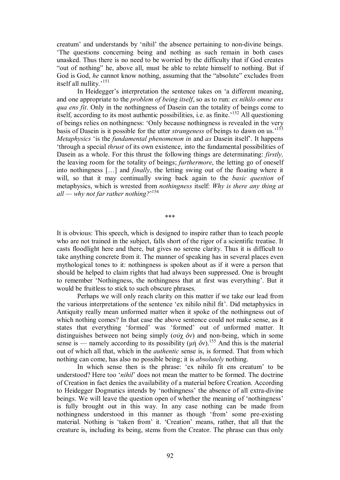creatum' and understands by 'nihil' the absence pertaining to non-divine beings. 'The questions concerning being and nothing as such remain in both cases unasked. Thus there is no need to be worried by the difficulty that if God creates "out of nothing" he, above all, must be able to relate himself to nothing. But if God is God, *he* cannot know nothing, assuming that the "absolute" excludes from itself all nullity.' 151

In Heidegger's interpretation the sentence takes on 'a different meaning, and one appropriate to the *problem of being itself*, so as to run: *ex nihilo omne ens qua ens fit*. Only in the nothingness of Dasein can the totality of beings come to itself, according to its most authentic possibilities, i.e. as finite.' <sup>152</sup> All questioning of beings relies on nothingness: 'Only because nothingness is revealed in the very basis of Dasein is it possible for the utter *strangeness* of beings to dawn on us.' 153 *Metaphysics* 'is the *fundamental phenomenon in* and *as* Dasein itself'. It happens 'through a special *thrust* of its own existence, into the fundamental possibilities of Dasein as a whole. For this thrust the following things are determinating: *firstly,* the leaving room for the totality of beings; *furthermore*, the letting go of oneself into nothingness […] and *finally*, the letting swing out of the floating where it will, so that it may continually swing back again to the *basic question* of metaphysics, which is wrested from *nothingness* itself: *Why is there any thing at all — why not far rather nothing?*' 154

\*\*\*

It is obvious: This speech, which is designed to inspire rather than to teach people who are not trained in the subject, falls short of the rigor of a scientific treatise. It casts floodlight here and there, but gives no serene clarity. Thus it is difficult to take anything concrete from it. The manner of speaking has in several places even mythological tones to it: nothingness is spoken about as if it were a person that should be helped to claim rights that had always been suppressed. One is brought to remember 'Nothingness, the nothingness that at first was everything'. But it would be fruitless to stick to such obscure phrases.

Perhaps we will only reach clarity on this matter if we take our lead from the various interpretations of the sentence 'ex nihilo nihil fit'. Did metaphysics in Antiquity really mean unformed matter when it spoke of the nothingness out of which nothing comes? In that case the above sentence could not make sense, as it states that everything 'formed' was 'formed' out of unformed matter. It distinguishes between not being simply (ουχ  $\delta y$ ) and non-being, which in some sense is — namely according to its possibility  $(\mu \dot{\eta} \, \delta \nu)$ .<sup>155</sup> And this is the material out of which all that, which in the *authentic* sense is, is formed. That from which nothing can come, has also no possible being; it is *absolutely* nothing.

In which sense then is the phrase: 'ex nihilo fit ens creatum' to be understood? Here too '*nihil*' does not mean the matter to be formed. The doctrine of Creation in fact denies the availability of a material before Creation. According to Heidegger Dogmatics intends by 'nothingness' the absence of all extra-divine beings. We will leave the question open of whether the meaning of 'nothingness' is fully brought out in this way. In any case nothing can be made from nothingness understood in this manner as though 'from' some pre-existing material. Nothing is 'taken from' it. 'Creation' means, rather, that all that the creature is, including its being, stems from the Creator. The phrase can thus only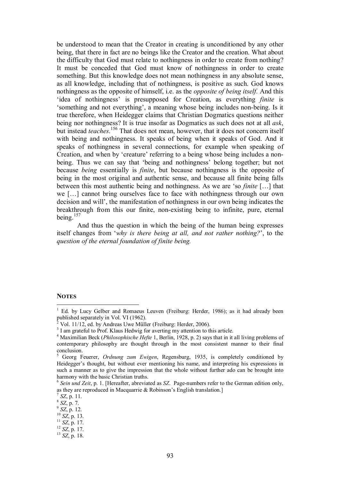be understood to mean that the Creator in creating is unconditioned by any other being, that there in fact are no beings like the Creator and the creation. What about the difficulty that God must relate to nothingness in order to create from nothing? It must be conceded that God must know of nothingness in order to create something. But this knowledge does not mean nothingness in any absolute sense, as all knowledge, including that of nothingness, is positive as such. God knows nothingness as the opposite of himself, i.e. as the *opposite of being itself.* And this 'idea of nothingness' is presupposed for Creation, as everything *finite* is 'something and not everything', a meaning whose being includes non-being. Is it true therefore, when Heidegger claims that Christian Dogmatics questions neither being nor nothingness? It is true insofar as Dogmatics as such does not at all *ask*, but instead *teaches*.<sup>156</sup> That does not mean, however, that it does not concern itself with being and nothingness. It speaks of being when it speaks of God. And it speaks of nothingness in several connections, for example when speaking of Creation, and when by 'creature' referring to a being whose being includes a non being. Thus we can say that 'being and nothingness' belong together; but not because *being* essentially is *finite*, but because nothingness is the opposite of being in the most original and authentic sense, and because all finite being falls between this most authentic being and nothingness. As we are 'so *finite* […] that we […] cannot bring ourselves face to face with nothingness through our own decision and will', the manifestation of nothingness in our own being indicates the breakthrough from this our finite, nonexisting being to infinite, pure, eternal being. $157$ 

And thus the question in which the being of the human being expresses itself changes from '*why is there being at all, and not rather nothing?*', to the *question of the eternal foundation of finite being.*

#### **NOTES**

<sup>&</sup>lt;sup>1</sup> Ed. by Lucy Gelber and Romaeus Leuven (Freiburg: Herder, 1986); as it had already been published separately in Vol. VI (1962).

<sup>&</sup>lt;sup>2</sup> Vol. 11/12, ed. by Andreas Uwe Müller (Freiburg: Herder, 2006).<br><sup>3</sup> I am grateful to Prof. Klaus Hedwig for averting my attention to this article.

<sup>&</sup>lt;sup>4</sup> Maximilian Beck (*Philosophische Hefte* 1, Berlin, 1928, p. 2) says that in it all living problems of contemporary philosophy are thought through in the most consistent manner to their final

Georg Feuerer, *Ordnung zum Ewigen*, Regensburg, 1935, is completely conditioned by Heidegger's thought, but without ever mentioning his name, and interpreting his expressions in such a manner as to give the impression that the whole without further ado can be brought into

harmony with the basic Christian truths.<br><sup>6</sup> *Sein und Zeit*, p. 1. [Hereafter, abreviated as *SZ*. Page-numbers refer to the German edition only, as they are reproduced in Macquarrie & Robinson's English translation.] as they are reproduced in Macquarrie & Robinson's English translation.]<br>
<sup>7</sup> *SZ*, p. 11.<br>
<sup>8</sup> *SZ*, p. 7.<br>
<sup>9</sup> *SZ*, p. 12.<br>
<sup>10</sup> *SZ*, p. 13.<br>
<sup>11</sup> *SZ*, p. 17.<br>
<sup>12</sup> *SZ*, p. 17.<br>
<sup>13</sup> *SZ*, p. 18.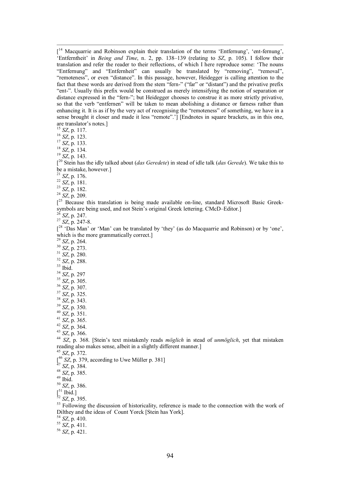$\int_0^{14}$  Macquarrie and Robinson explain their translation of the terms 'Entfernung', 'ent-fernung', 'Entferntheit' in *Being and Time*, n. 2, pp. 138-139 (relating to *SZ*, p. 105). I follow their translation and refer the reader to their reflections, of which I here reproduce some: 'The nouns "Entfernung" and "Entfernheit" can usually be translated by "removing", "removal", "remoteness", or even "distance". In this passage, however, Heidegger is calling attention to the fact that these words are derived from the stem "fern-" ("far" or "distant") and the privative prefix "ent". Usually this prefix would be construed as merely intensifying the notion of separation or distance expressed in the "fern-"; but Heidegger chooses to construe it as more strictly privative, so that the verb "entfernen" will be taken to mean abolishing a distance or farness rather than enhancing it. It is as if by the very act of recognising the "remoteness" of something, we have in a sense brought it closer and made it less "remote".'] [Endnotes in square brackets, as in this one, are translator's notes.] <sup>15</sup> *SZ*, p. 117. <sup>16</sup> *SZ*, p. 123. <sup>17</sup> *SZ*, p. 133. <sup>18</sup> *SZ*, p. 134. <sup>19</sup> *SZ*, p. 143.

[ <sup>20</sup> Stein has the idly talked about (*das Geredete*) in stead of idle talk (*das Gerede*). We take this to be <sup>a</sup> mistake, however.] <sup>21</sup> *SZ*, p. 176. <sup>22</sup> *SZ*, p. 181. <sup>23</sup> *SZ*, p. 182. <sup>24</sup> *SZ*, p. 209.

 $\int_{0}^{25}$  Because this translation is being made available on-line, standard Microsoft Basic Greeksymbols are being used, and not Stein's original Greek lettering. CMcD–Editor.]<br><sup>26</sup> *SZ*, p. 247.<br><sup>27</sup> *SZ*, p. 247-8.

 $[$ <sup>28</sup> 'Das Man' or 'Man' can be translated by 'they' (as do Macquarrie and Robinson) or by 'one', which is the more grammatically correct.] <sup>29</sup> *SZ*, p. 264.

<sup>30</sup> *SZ*, p. 273.

<sup>31</sup> *SZ*, p. 280.

- <sup>32</sup> *SZ*, p. 288.
- <sup>33</sup> Ibid.

<sup>34</sup> *SZ*, p. 297

<sup>35</sup> *SZ*, p. 305.

<sup>36</sup> *SZ*, p. 307.

<sup>37</sup> *SZ*, p. 325.

<sup>38</sup> *SZ*, p. 343.<br><sup>39</sup> *SZ*, p. 350.

<sup>40</sup> SZ, p. 351.<br>
<sup>41</sup> SZ, p. 365.<br>
<sup>42</sup> SZ, p. 366.<br>
<sup>43</sup> SZ, p. 366.<br>
<sup>43</sup> SZ, p. 366.<br>
<sup>43</sup> SZ, p. 368. [Stein's text mistakenly reads *möglich* in stead of *unmöglich*, yet that mistaken reading also makes sense, albeit in <sup>a</sup> slightly different manner.] <sup>45</sup> *SZ*, p. 372.

[<sup>46</sup> *SZ*, p. 379, according to Uwe Müller p. 381]<br><sup>47</sup> *SZ*, p. 384.<br><sup>48</sup> *SZ*, p. 385.<br><sup>49</sup> Ibid. 50 *SZ*, p. 386.<br><sup>51</sup> Ibid.]

<sup>52</sup> *SZ*, p. 395.<br><sup>53</sup> SZ, p. 395.<br><sup>53</sup> Following the discussion of historicality, reference is made to the connection with the work of Dilthey and the ideas of Count Yorck [Stein has York]. <sup>54</sup> *SZ*, p. 410. <sup>55</sup> *SZ*, p. 411. <sup>56</sup> *SZ*, p. 421.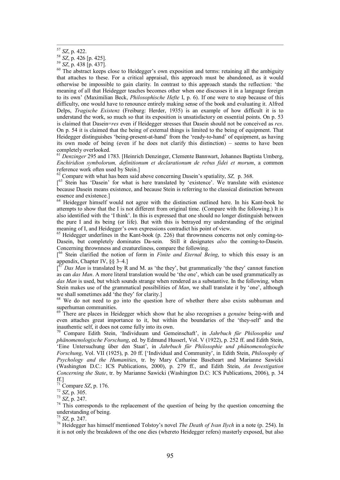<sup>57</sup> *SZ*, p. 422.<br><sup>58</sup> *SZ*, p. 426 [p. 425].<br><sup>59</sup> *SZ*, p. 438 [p. 437].<br><sup>60</sup> The abstract keeps close to Heidegger's own exposition and terms: retaining all the ambiguity that attaches to these. For a critical appraisal, this approach must be abandoned, as it would otherwise be impossible to gain clarity. In contrast to this approach stands the reflection: 'the meaning of all that Heidegger teaches becomes other when one discusses it in a language foreign to its own' (Maximilian Beck, *Philosophische Hefte* I, p. 6). If one were to stop because of this difficulty, one would have to renounce entirely making sense of the book and evaluating it. Alfred Delps, *Tragische Existenz* (Freiburg: Herder, 1935) is an example of how difficult it is to understand the work, so much so that its exposition is unsatisfactory on essential points. On p. 53 is claimed that Dasein=*res* even if Heidegger stresses that Dasein should not be conceived as *res*. On p. 54 it is claimed that the being of external things is limited to the being of equipment. That Heidegger distinguishes 'being-present-at-hand' from the 'ready-to-hand' of equipment, as having its own mode of being (even if he does not clarify this distinction) – seems to have been completely overlooked.

<sup>61</sup> *Denzinger* 295 and 1783. [Heinrich Denzinger, Clemente Bannwart, Johannes Baptista Umberg, *Enchiridion symbolorum, definitionum et declarationum de rebus fidei et morum*, a common reference work often used by Stein.]

<sup>62</sup> Compare with what has been said above concerning Dasein's spatiality, *SZ,* p. 368.

[<sup>63</sup> Stein has 'Dasein' for what is here translated by 'existence'. We translate with existence because Dasein means existence, and because Stein is referring to the classical distinction between essence and existence.]

 $64$  Heidegger himself would not agree with the distinction outlined here. In his Kant-book he attempts to show that the I is not different from original time. (Compare with the following.) It is also identified with the 'I think'. In this is expressed that one should no longer distinguish between the pure I and its being (or life). But with this is betrayed my understanding of the original meaning of I, and Heidegger's own expressions contradict his point of view.

 $\frac{65}{10}$  Heidegger underlines in the Kant-book (p. 226) that thrownness concerns not only coming-to-Dasein, but completely dominates Da-sein. Still it designates *also* the coming-to-Dasein. Concerning thrownness and creatureliness, compare the following.

[ <sup>66</sup> Stein clarified the notion of form in *Finite and Eternal Being*, to which this essay is an appendix, Chapter IV, §§ 3–4.]

 $\int$  *Das Man* is translated by R and M. as 'the they', but grammatically 'the they' cannot function as can *das Man*. A more literal translation would be 'the one', which can be used grammatically as *das Man* is used, but which sounds strange when rendered as a substantive. In the following, when Stein makes use of the grammatical possibilities of *Man*, we shall translate it by 'one', although we shall sometimes add 'the they' for clarity.]

 $68$  We do not need to go into the question here of whether there also exists subhuman and superhuman communities.

There are places in Heidegger which show that he also recognises a *genuine* being-with and even attaches great importance to it, but within the boundaries of the 'they-self' and the inauthentic self, it does not come fully into its own.

Compare Edith Stein, 'Individuum und Gemeinschaft', in *Jahrbuch für Philosophie und phänomenologische Forschung*, ed. by Edmund Husserl, Vol. V (1922), p. 252 ff. and Edith Stein, 'Eine Untersuchung über den Staat', in *Jahrbuch für Philosophie und phänomenologische Forschung*, Vol. VII (1925), p. 20 ff. ['Individual and Community', in Edith Stein, *Philosophy of Psychology and the Humanities*, tr. by Mary Catharine Baseheart and Marianne Sawicki (Washington D.C.: ICS Publications, 2000), p. 279 ff., and Edith Stein, *An Investigation Concerning the State*, tr. by Marianne Sawicki (Washington D.C: ICS Publications, 2006), p. 34

<sup>71</sup> Compare *SZ*, p. 176.<br><sup>72</sup> *SZ*, p. 305.<br><sup>73</sup> *SZ*, p. 247.<br><sup>74</sup> This corresponds to the replacement of the question of being by the question concerning the understanding of being.

<sup>75</sup> *SZ*, p. 247. <sup>76</sup> Heidegger has himself mentioned Tolstoy's novel *The Death of Ivan Ilych* in a note (p. 254). In it is not only the breakdown of the one dies (whereto Heidegger refers) masterly exposed, but also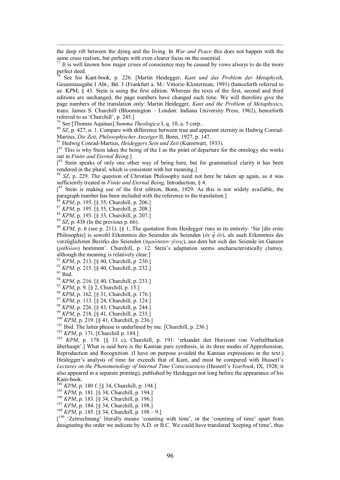the deep rift between the dying and the living. In *War and Peace* this does not happen with the

perfect deed. <sup>78</sup> See his Kantbook, p. 226. [Martin Heidegger, *Kant und das Problem der Metaphysik*, Gesamtausgabe I Abt., Bd. 3 (Frankfurt a. M.: Vittorio Klosterman, 1991) (henceforth referred to as: KPM,  $\bar{\S}$  43. Stein is using the first edition. Whereas the texts of the first, second and third editions are unchanged, the page numbers have changed each time. We will therefore give the page numbers of the translation only: Martin Heidegger, *Kant and the Problem of Metaphysics*, trans. James S. Churchill (Bloomington – London: Indiana University Press, 1962), henceforth referred to as 'Churchill', p. 245.

<sup>79</sup> See [Thomas Aquinas] *Summa Theologica* I, q. 10, a. 5 corp.. 80 *SZ*, p. 427, n. 1. Compare with difference between true and apparent eternity in Hedwig Conrad-Martius, *Die Zeit*, *Philosophischer Anzeiger* II, Bonn, 1927, p. 147.

<sup>81</sup> Hedwig Conrad-Martius, *Heideggers Sein und Zeit* (Kunstwart, 1933).

 $\int_{0}^{82}$  This is why Stein takes the being of the I as the point of departure for the ontology she works out in *Finite and Eternal Being*.]

[83 Stein speaks of only one other way of being here, but for grammatical clarity it has been rendered in the plural, which is consistent with her meaning.]

<sup>84</sup> SZ, p. 229. The question of Christian Philosophy need not here be taken up again, as it was sufficiently treated in *Finite and Eternal Being,* Introduction, § 4*.*

 $[$ <sup>85</sup> Stein is making use of the first edition, Bonn, 1929. As this is not widely available, the paragraph number has been included with the reference to the translation.]

<sup>86</sup> *KPM*, p. 193. [§ 35, Churchill, p. 206.]

<sup>87</sup> *KPM*, p. 195. [§ 35, Churchill, p. 208.]

<sup>88</sup> *KPM*, p. 193. [§ 35, Churchill, p. 207.]

<sup>89</sup> *SZ*, p. 438 (In the previous p. 66).

 $^{90}$  KPM, p. 6 (see p. 211). [§ 1, The quotation from Heidegger runs in its entirety: 'Sie [die erste Philosophie] is sowohl Erkenntnis des Seienden als Seienden (*ỏν η̃ ỏν*), als auch Erkenntnis des vorzüglichsten Bezirks des Seienden (*τιμιώτατον γένος*), aus dem her sich das Seiende im Ganzen (*χαθόλου*) bestimmt'. Churchill, p. 12. Stein's adaptation seems uncharacteristically clumsy, although the meaning is relatively clear.]

<sup>91</sup> *KPM*, p. 213. [§ 40, Churchill, p 230.]

- <sup>92</sup> *KPM*, p. 215. [§ 40, Churchill, p. 232.]
- $^{93}$  Ibid.
- <sup>94</sup> *KPM*, p. 216. [§ 40, Churchill, p. 233.]
- <sup>95</sup> *KPM*, p. 9. [§ 2, Churchill, p. 15.]
- <sup>96</sup> *KPM*, p. 162. [§ 31, Churchill, p. 176.]
- <sup>97</sup> *KPM*, p. 113. [§ 24, Churchill, p. 124.]
- <sup>98</sup> *KPM*, p. 226. [§ 43, Churchill, p. 244.]<br><sup>99</sup> *KPM*, p. 218. [§ 41, Churchill, p. 235.]
- 
- 

<sup>100</sup> KPM, p. 219. [§ 41, Churchill, p. 236.]<br><sup>101</sup> Ibid. The latter phrase is underlined by me. [Churchill, p. 236.]<br><sup>102</sup> KPM, p. 171. [Churchill p. 184.]<br><sup>103</sup> KPM, p. 178. [§ 33 c), Churchill, p. 191: 'erkundet den Ho überhaupt'.] What is said here is the Kantian pure synthesis, in its three modes of Apprehension, Reproduction and Recognition. (I have on purpose avoided the Kantian expressions in the text.) Heidegger's analysis of time far exceeds that of Kant, and must be compared with Husserl's *Lectures on the Phenomenology of Internal Time Consciousness* (Husserl's *Yearbook*, IX, 1928; it also appeared in a separate printing), published by Heidegger not long before the appearance of his Kant-book.<br><sup>104</sup> *KPM*, p. 180 f. [§ 34, Churchill, p. 194.]<br><sup>105</sup> *KPM*, p. 181. [§ 34, Churchill, p. 194.]<br><sup>106</sup> *KPM*, p. 183. [§ 34, Churchill, p. 196.]<br><sup>107</sup> *KPM*, p. 184. [§ 34, Churchill, p. 198.]<br><sup>108</sup> *KPM*, p.

- 
- 
- 
- 
- 

[<sup>109</sup> 'Zeitrechnung' literally means 'counting with time', or the 'counting of time' apart from designating the order we indicate by A.D. or B.C. We could have translated 'keeping of time', thus

same crass realism, but perhaps with even clearer focus on the essential.<br><sup>77</sup> It is well known how major crises of conscience may be caused by vows always to do the more<br> $\frac{1}{2}$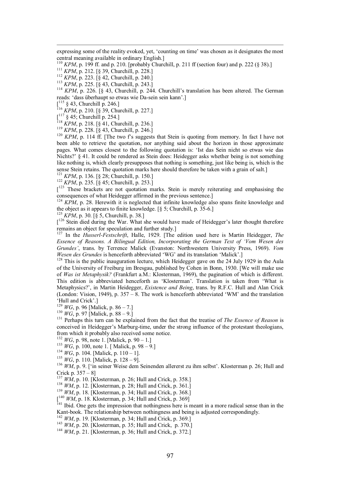expressing some of the reality evoked, yet, 'counting on time' was chosen as it designates the most

<sup>110</sup> *KPM*, p. 199 ff. and p. 210. [probably Churchill, p. 211 ff (section four) and p. 222 (§ 38).]<br><sup>111</sup> *KPM*, p. 212. [§ 39, Churchill, p. 228.]<br><sup>112</sup> *KPM*, p. 223. [§ 42, Churchill, p. 240.]<br><sup>113</sup> *KPM*, p. 225. [§

reads: 'dass überhaupt so etwas wie Da-sein sein kann'.]<br> $\int_1^{115}$  § 43, Churchill p. 246.]

 $^{116}$  *KPM*, p. 210. [§ 39, Churchill, p. 227.]<br> $\int^{117}$  § 45; Churchill p. 254.]

<sup>118</sup> KPM, p. 218. [§ 41, Churchill, p. 236.]<br><sup>119</sup> KPM, p. 228. [§ 43, Churchill, p. 246.]<br><sup>120</sup> KPM, p. 114 ff. [The two f's suggests that Stein is quoting from memory. In fact I have not been able to retrieve the quotation, nor anything said about the horizon in those approximate pages. What comes closest to the following quotation is: 'Ist das Sein nicht so etwas wie das Nichts?' § 41. It could be rendered as Stein does: Heidegger asks whether being is not something like nothing is, which clearly presupposes that nothing is something, just like being is, which is the sense Stein retains. The quotation marks here should therefore be taken with a grain of salt.]<br><sup>121</sup> *KPM*, p. 136. [§ 28; Churchill, p. 150.]<br><sup>122</sup> *KPM*, p. 235. [§ 45; Churchill, p. 253.]

 $\int_{0}^{123}$  These brackets are not quotation marks. Stein is merely reiterating and emphasising the consequences of what Heidegger affirmed in the previous sentence.]<br><sup>124</sup> *KPM*, p. 28. Herewith it is neglected that infinite knowledge also spans finite knowledge and

the object as it appears to finite knowledge.  $\lbrack \S 5 \rbrack$ ; Churchill, p. 35-6.]

[<sup>126</sup> Stein died during the War. What she would have made of Heidegger's later thought therefore remains an object for speculation and further study.] <sup>127</sup> In the *HusserlFestschrift*, Halle, 1929. [The edition used here is Martin Heidegger, *The*

*Essence of Reasons. A Bilingual Edition, Incorporating the German Text of 'Vom Wesen des Grundes'*, trans. by Terrence Malick (Evanston: Northwestern University Press, 1969). *Vom*

<sup>128</sup> This is the public inauguration lecture, which Heidegger gave on the 24 July 1929 in the Aula of the University of Freiburg im Bresgau, published by Cohen in Bonn, 1930. [We will make use of *Was ist Metaphysik?* (Frankfurt a.M.: Klosterman, 1969), the pagination of which is different. This edition is abbreviated henceforth as 'Klosterman'. Translation is taken from 'What is Metaphysics?', in Martin Heidegger, *Existence and Being*, trans. by R.F.C. Hull and Alan Crick (London: Vision, 1949), p. 357 – 8. The work is henceforth abbreviated 'WM' and the translation "Hull and Crick".]<br>
<sup>129</sup> *WG*, p. 96 [Malick, p. 86 – 7.]<br>
<sup>130</sup> *WG*, p. 97 [Malick, p. 88 – 9.]<br>
<sup>131</sup> Perhaps this turn can be explained from the fact that the treatise of *The Essence of Reason* is

conceived in Heidegger's Marburg-time, under the strong influence of the protestant theologians, from which it probably also received some notice.

<sup>132</sup> WG, p. 98, note 1. [Malick, p. 90 – 1.]<br><sup>133</sup> WG, p. 100, note 1. [Malick, p. 98 – 9.]<br><sup>134</sup> WG, p. 104. [Malick, p. 110 – 1].<br><sup>135</sup> WG, p. 110. [Malick, p. 128 – 9].<br><sup>136</sup> WM, p. 9. [<sup>5</sup>in seiner Weise dem Seinende Crick p. 357 – 8]<br>
<sup>137</sup> *WM*, p. 10. [Klosterman, p. 26; Hull and Crick, p. 358.]<br>
<sup>138</sup> *WM*, p. 12. [Klosterman, p. 34; Hull and Crick, p. 368.]<br>
<sup>[140</sup> *WM*, p. 18. Klosterman, p. 34; Hull and Crick, p. 369]

 $\frac{W_1W_2}{141}$  Ibid. One gets the impression that nothingness here is meant in a more radical sense than in the Kant-book. The relationship between nothingness and being is adjusted correspondingly.<br><sup>142</sup> *WM*, p. 19. [Klosterman, p. 34; Hull and Crick, p. 369.]<br><sup>143</sup> *WM*, p. 20. [Klosterman, p. 35; Hull and Crick, p. 370.]<br><sup>144</sup>